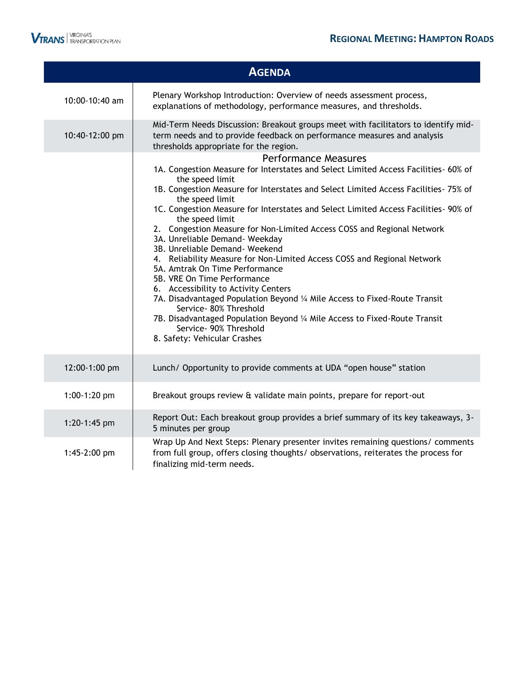

I

|                | <b>AGENDA</b>                                                                                                                                                                                                                                                                                                                                                                                                                                                                                                                                                                                                                                                                                                                                                                                                                                                                                                                               |
|----------------|---------------------------------------------------------------------------------------------------------------------------------------------------------------------------------------------------------------------------------------------------------------------------------------------------------------------------------------------------------------------------------------------------------------------------------------------------------------------------------------------------------------------------------------------------------------------------------------------------------------------------------------------------------------------------------------------------------------------------------------------------------------------------------------------------------------------------------------------------------------------------------------------------------------------------------------------|
| 10:00-10:40 am | Plenary Workshop Introduction: Overview of needs assessment process,<br>explanations of methodology, performance measures, and thresholds.                                                                                                                                                                                                                                                                                                                                                                                                                                                                                                                                                                                                                                                                                                                                                                                                  |
| 10:40-12:00 pm | Mid-Term Needs Discussion: Breakout groups meet with facilitators to identify mid-<br>term needs and to provide feedback on performance measures and analysis<br>thresholds appropriate for the region.                                                                                                                                                                                                                                                                                                                                                                                                                                                                                                                                                                                                                                                                                                                                     |
|                | <b>Performance Measures</b><br>1A. Congestion Measure for Interstates and Select Limited Access Facilities- 60% of<br>the speed limit<br>1B. Congestion Measure for Interstates and Select Limited Access Facilities- 75% of<br>the speed limit<br>1C. Congestion Measure for Interstates and Select Limited Access Facilities- 90% of<br>the speed limit<br>2. Congestion Measure for Non-Limited Access COSS and Regional Network<br>3A. Unreliable Demand- Weekday<br>3B. Unreliable Demand- Weekend<br>4. Reliability Measure for Non-Limited Access COSS and Regional Network<br>5A. Amtrak On Time Performance<br>5B. VRE On Time Performance<br>6. Accessibility to Activity Centers<br>7A. Disadvantaged Population Beyond 1/4 Mile Access to Fixed-Route Transit<br>Service- 80% Threshold<br>7B. Disadvantaged Population Beyond 1/4 Mile Access to Fixed-Route Transit<br>Service- 90% Threshold<br>8. Safety: Vehicular Crashes |
| 12:00-1:00 pm  | Lunch/ Opportunity to provide comments at UDA "open house" station                                                                                                                                                                                                                                                                                                                                                                                                                                                                                                                                                                                                                                                                                                                                                                                                                                                                          |
| 1:00-1:20 pm   | Breakout groups review & validate main points, prepare for report-out                                                                                                                                                                                                                                                                                                                                                                                                                                                                                                                                                                                                                                                                                                                                                                                                                                                                       |
| 1:20-1:45 pm   | Report Out: Each breakout group provides a brief summary of its key takeaways, 3-<br>5 minutes per group<br>Wrap Up And Next Steps: Plenary presenter invites remaining questions/ comments                                                                                                                                                                                                                                                                                                                                                                                                                                                                                                                                                                                                                                                                                                                                                 |
| 1:45-2:00 pm   | from full group, offers closing thoughts/ observations, reiterates the process for<br>finalizing mid-term needs.                                                                                                                                                                                                                                                                                                                                                                                                                                                                                                                                                                                                                                                                                                                                                                                                                            |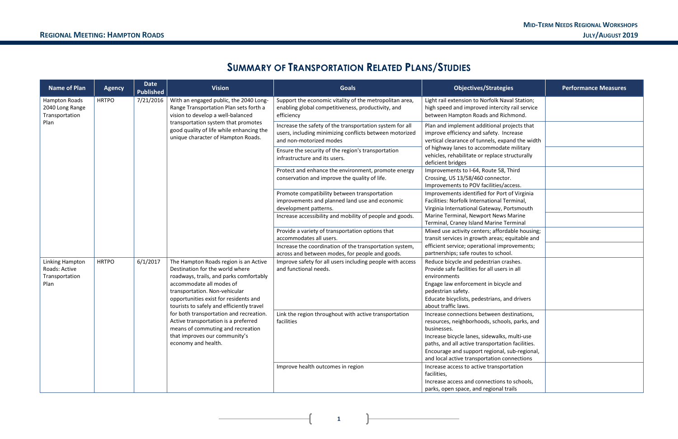**1**

### **SUMMARY OF TRANSPORTATION RELATED PLANS/STUDIES**

| <b>Name of Plan</b>                                        | <b>Agency</b> | <b>Date</b><br><b>Published</b>                                                                                         | <b>Vision</b>                                                                                                                                                                                                                                                          | <b>Goals</b>                                                                                                                                   | <b>Objectives/Strategies</b>                                                                                                                                                                                                                                                                                   | <b>Performance Measures</b> |
|------------------------------------------------------------|---------------|-------------------------------------------------------------------------------------------------------------------------|------------------------------------------------------------------------------------------------------------------------------------------------------------------------------------------------------------------------------------------------------------------------|------------------------------------------------------------------------------------------------------------------------------------------------|----------------------------------------------------------------------------------------------------------------------------------------------------------------------------------------------------------------------------------------------------------------------------------------------------------------|-----------------------------|
| Hampton Roads<br>2040 Long Range<br>Transportation         | <b>HRTPO</b>  | 7/21/2016                                                                                                               | With an engaged public, the 2040 Long-<br>Range Transportation Plan sets forth a<br>vision to develop a well-balanced                                                                                                                                                  | Support the economic vitality of the metropolitan area,<br>enabling global competitiveness, productivity, and<br>efficiency                    | Light rail extension to Norfolk Naval Station;<br>high speed and improved intercity rail service<br>between Hampton Roads and Richmond.                                                                                                                                                                        |                             |
| Plan                                                       |               |                                                                                                                         | transportation system that promotes<br>good quality of life while enhancing the<br>unique character of Hampton Roads.                                                                                                                                                  | Increase the safety of the transportation system for all<br>users, including minimizing conflicts between motorized<br>and non-motorized modes | Plan and implement additional projects that<br>improve efficiency and safety. Increase<br>vertical clearance of tunnels, expand the width<br>of highway lanes to accommodate military<br>vehicles, rehabilitate or replace structurally<br>deficient bridges                                                   |                             |
|                                                            |               |                                                                                                                         |                                                                                                                                                                                                                                                                        | Ensure the security of the region's transportation<br>infrastructure and its users.                                                            |                                                                                                                                                                                                                                                                                                                |                             |
|                                                            |               |                                                                                                                         | Protect and enhance the environment, promote energy<br>conservation and improve the quality of life.                                                                                                                                                                   | Improvements to I-64, Route 58, Third<br>Crossing, US 13/58/460 connector.<br>Improvements to POV facilities/access.                           |                                                                                                                                                                                                                                                                                                                |                             |
|                                                            |               | Promote compatibility between transportation<br>improvements and planned land use and economic<br>development patterns. | Improvements identified for Port of Virginia<br>Facilities: Norfolk International Terminal,<br>Virginia International Gateway, Portsmouth<br>Marine Terminal, Newport News Marine<br>Terminal, Craney Island Marine Terminal                                           |                                                                                                                                                |                                                                                                                                                                                                                                                                                                                |                             |
|                                                            |               | Increase accessibility and mobility of people and goods.                                                                |                                                                                                                                                                                                                                                                        |                                                                                                                                                |                                                                                                                                                                                                                                                                                                                |                             |
|                                                            |               |                                                                                                                         |                                                                                                                                                                                                                                                                        | Provide a variety of transportation options that<br>accommodates all users.                                                                    | Mixed use activity centers; affordable housing;<br>transit services in growth areas; equitable and                                                                                                                                                                                                             |                             |
|                                                            |               |                                                                                                                         |                                                                                                                                                                                                                                                                        | Increase the coordination of the transportation system,<br>across and between modes, for people and goods.                                     | efficient service; operational improvements;<br>partnerships; safe routes to school.                                                                                                                                                                                                                           |                             |
| Linking Hampton<br>Roads: Active<br>Transportation<br>Plan | <b>HRTPO</b>  | 6/1/2017                                                                                                                | The Hampton Roads region is an Active<br>Destination for the world where<br>roadways, trails, and parks comfortably<br>accommodate all modes of<br>transportation. Non-vehicular<br>opportunities exist for residents and<br>tourists to safely and efficiently travel | Improve safety for all users including people with access<br>and functional needs.                                                             | Reduce bicycle and pedestrian crashes.<br>Provide safe facilities for all users in all<br>environments<br>Engage law enforcement in bicycle and<br>pedestrian safety.<br>Educate bicyclists, pedestrians, and drivers<br>about traffic laws.                                                                   |                             |
|                                                            |               |                                                                                                                         | for both transportation and recreation.<br>Active transportation is a preferred<br>means of commuting and recreation<br>that improves our community's<br>economy and health.                                                                                           | Link the region throughout with active transportation<br>facilities                                                                            | Increase connections between destinations,<br>resources, neighborhoods, schools, parks, and<br>businesses.<br>Increase bicycle lanes, sidewalks, multi-use<br>paths, and all active transportation facilities.<br>Encourage and support regional, sub-regional,<br>and local active transportation connections |                             |
|                                                            |               |                                                                                                                         |                                                                                                                                                                                                                                                                        | Improve health outcomes in region                                                                                                              | Increase access to active transportation<br>facilities,<br>Increase access and connections to schools,<br>parks, open space, and regional trails                                                                                                                                                               |                             |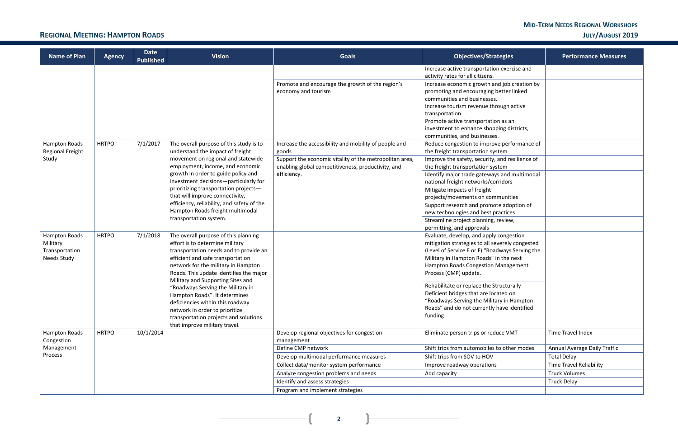| <b>Objectives/Strategies</b>                                                                                                                                                                                                                                                                                                                                                                 | <b>Performance Measures</b>         |
|----------------------------------------------------------------------------------------------------------------------------------------------------------------------------------------------------------------------------------------------------------------------------------------------------------------------------------------------------------------------------------------------|-------------------------------------|
| Increase active transportation exercise and<br>activity rates for all citizens.                                                                                                                                                                                                                                                                                                              |                                     |
| Increase economic growth and job creation by<br>promoting and encouraging better linked<br>communities and businesses.<br>Increase tourism revenue through active<br>transportation.<br>Promote active transportation as an<br>investment to enhance shopping districts,<br>communities, and businesses.<br>Reduce congestion to improve performance of<br>the freight transportation system |                                     |
| Improve the safety, security, and resilience of<br>the freight transportation system                                                                                                                                                                                                                                                                                                         |                                     |
| Identify major trade gateways and multimodal<br>national freight networks/corridors                                                                                                                                                                                                                                                                                                          |                                     |
| Mitigate impacts of freight<br>projects/movements on communities                                                                                                                                                                                                                                                                                                                             |                                     |
| Support research and promote adoption of<br>new technologies and best practices                                                                                                                                                                                                                                                                                                              |                                     |
| Streamline project planning, review,<br>permitting, and approvals                                                                                                                                                                                                                                                                                                                            |                                     |
| Evaluate, develop, and apply congestion<br>mitigation strategies to all severely congested<br>(Level of Service E or F) "Roadways Serving the<br>Military in Hampton Roads" in the next<br>Hampton Roads Congestion Management<br>Process (CMP) update.                                                                                                                                      |                                     |
| Rehabilitate or replace the Structurally<br>Deficient bridges that are located on<br>"Roadways Serving the Military in Hampton<br>Roads" and do not currently have identified<br>funding                                                                                                                                                                                                     |                                     |
| Eliminate person trips or reduce VMT                                                                                                                                                                                                                                                                                                                                                         | <b>Time Travel Index</b>            |
| Shift trips from automobiles to other modes                                                                                                                                                                                                                                                                                                                                                  | <b>Annual Average Daily Traffic</b> |
| Shift trips from SOV to HOV                                                                                                                                                                                                                                                                                                                                                                  | <b>Total Delay</b>                  |
| Improve roadway operations                                                                                                                                                                                                                                                                                                                                                                   | <b>Time Travel Reliability</b>      |
| Add capacity                                                                                                                                                                                                                                                                                                                                                                                 | <b>Truck Volumes</b>                |
|                                                                                                                                                                                                                                                                                                                                                                                              | <b>Truck Delay</b>                  |
|                                                                                                                                                                                                                                                                                                                                                                                              |                                     |

### **REGIONAL MEETING: HAMPTON ROADS JULY/AUGUST 2019**

**2**

 $\overline{+}$ 

 $\mathbf{L}$ 

| <b>Name of Plan</b>                                               | <b>Agency</b> | <b>Date</b><br><b>Published</b>                                        | <b>Vision</b>                                                                                                                                                                                                                                                                                                                                                                                                                                                                                       | <b>Goals</b>                                                                         | <b>Objectives/Strategies</b>                                                                                                                                                                                                                                                                                                                                                                                                                        | <b>Performance Measures</b>    |
|-------------------------------------------------------------------|---------------|------------------------------------------------------------------------|-----------------------------------------------------------------------------------------------------------------------------------------------------------------------------------------------------------------------------------------------------------------------------------------------------------------------------------------------------------------------------------------------------------------------------------------------------------------------------------------------------|--------------------------------------------------------------------------------------|-----------------------------------------------------------------------------------------------------------------------------------------------------------------------------------------------------------------------------------------------------------------------------------------------------------------------------------------------------------------------------------------------------------------------------------------------------|--------------------------------|
|                                                                   |               |                                                                        |                                                                                                                                                                                                                                                                                                                                                                                                                                                                                                     |                                                                                      | Increase active transportation exercise and<br>activity rates for all citizens.                                                                                                                                                                                                                                                                                                                                                                     |                                |
|                                                                   |               |                                                                        |                                                                                                                                                                                                                                                                                                                                                                                                                                                                                                     | Promote and encourage the growth of the region's<br>economy and tourism              | Increase economic growth and job creation by<br>promoting and encouraging better linked<br>communities and businesses.<br>Increase tourism revenue through active<br>transportation.<br>Promote active transportation as an<br>investment to enhance shopping districts,<br>communities, and businesses.                                                                                                                                            |                                |
| Hampton Roads                                                     | <b>HRTPO</b>  | 7/1/2017                                                               | The overall purpose of this study is to<br>understand the impact of freight                                                                                                                                                                                                                                                                                                                                                                                                                         | Increase the accessibility and mobility of people and                                | Reduce congestion to improve performance of<br>the freight transportation system                                                                                                                                                                                                                                                                                                                                                                    |                                |
| Regional Freight<br>Study                                         |               | movement on regional and statewide<br>employment, income, and economic | goods<br>Support the economic vitality of the metropolitan area,<br>enabling global competitiveness, productivity, and                                                                                                                                                                                                                                                                                                                                                                              | Improve the safety, security, and resilience of<br>the freight transportation system |                                                                                                                                                                                                                                                                                                                                                                                                                                                     |                                |
|                                                                   |               |                                                                        | growth in order to guide policy and<br>investment decisions-particularly for                                                                                                                                                                                                                                                                                                                                                                                                                        | efficiency.                                                                          | Identify major trade gateways and multimodal<br>national freight networks/corridors                                                                                                                                                                                                                                                                                                                                                                 |                                |
|                                                                   |               |                                                                        | prioritizing transportation projects-<br>that will improve connectivity,                                                                                                                                                                                                                                                                                                                                                                                                                            |                                                                                      | Mitigate impacts of freight                                                                                                                                                                                                                                                                                                                                                                                                                         |                                |
|                                                                   |               |                                                                        | efficiency, reliability, and safety of the<br>Hampton Roads freight multimodal                                                                                                                                                                                                                                                                                                                                                                                                                      |                                                                                      | projects/movements on communities<br>Support research and promote adoption of<br>new technologies and best practices                                                                                                                                                                                                                                                                                                                                |                                |
|                                                                   |               |                                                                        | transportation system.                                                                                                                                                                                                                                                                                                                                                                                                                                                                              |                                                                                      | Streamline project planning, review,<br>permitting, and approvals                                                                                                                                                                                                                                                                                                                                                                                   |                                |
| <b>Hampton Roads</b><br>Military<br>Transportation<br>Needs Study | <b>HRTPO</b>  | 7/1/2018                                                               | The overall purpose of this planning<br>effort is to determine military<br>transportation needs and to provide an<br>efficient and safe transportation<br>network for the military in Hampton<br>Roads. This update identifies the major<br>Military and Supporting Sites and<br>"Roadways Serving the Military in<br>Hampton Roads". It determines<br>deficiencies within this roadway<br>network in order to prioritize<br>transportation projects and solutions<br>that improve military travel. |                                                                                      | Evaluate, develop, and apply congestion<br>mitigation strategies to all severely congested<br>(Level of Service E or F) "Roadways Serving the<br>Military in Hampton Roads" in the next<br>Hampton Roads Congestion Management<br>Process (CMP) update.<br>Rehabilitate or replace the Structurally<br>Deficient bridges that are located on<br>"Roadways Serving the Military in Hampton<br>Roads" and do not currently have identified<br>funding |                                |
| Hampton Roads<br>Congestion                                       | <b>HRTPO</b>  | 10/1/2014                                                              |                                                                                                                                                                                                                                                                                                                                                                                                                                                                                                     | Develop regional objectives for congestion<br>management                             | Eliminate person trips or reduce VMT                                                                                                                                                                                                                                                                                                                                                                                                                | Time Travel Index              |
| Management                                                        |               |                                                                        |                                                                                                                                                                                                                                                                                                                                                                                                                                                                                                     | Define CMP network                                                                   | Shift trips from automobiles to other modes                                                                                                                                                                                                                                                                                                                                                                                                         | Annual Average Daily Traffic   |
| Process                                                           |               |                                                                        |                                                                                                                                                                                                                                                                                                                                                                                                                                                                                                     | Develop multimodal performance measures                                              | Shift trips from SOV to HOV                                                                                                                                                                                                                                                                                                                                                                                                                         | <b>Total Delay</b>             |
|                                                                   |               |                                                                        |                                                                                                                                                                                                                                                                                                                                                                                                                                                                                                     | Collect data/monitor system performance                                              | Improve roadway operations                                                                                                                                                                                                                                                                                                                                                                                                                          | <b>Time Travel Reliability</b> |
|                                                                   |               |                                                                        |                                                                                                                                                                                                                                                                                                                                                                                                                                                                                                     | Analyze congestion problems and needs                                                | Add capacity                                                                                                                                                                                                                                                                                                                                                                                                                                        | <b>Truck Volumes</b>           |
|                                                                   |               |                                                                        |                                                                                                                                                                                                                                                                                                                                                                                                                                                                                                     | Identify and assess strategies                                                       |                                                                                                                                                                                                                                                                                                                                                                                                                                                     | <b>Truck Delay</b>             |
|                                                                   |               |                                                                        |                                                                                                                                                                                                                                                                                                                                                                                                                                                                                                     | Program and implement strategies                                                     |                                                                                                                                                                                                                                                                                                                                                                                                                                                     |                                |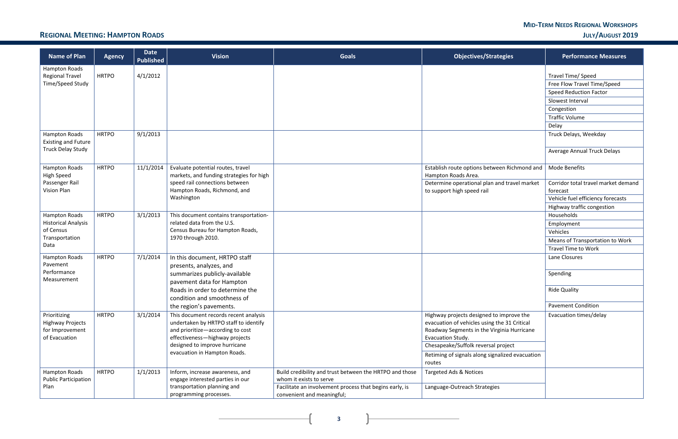#### **MID-TERM NEEDS REGIONAL WORKSHOPS REGIONAL MEETING: HAMPTON ROADS JULY/AUGUST 2019**

**3**

 $\overline{+}$ 

 $\mathbf{R}$ 

| <b>Name of Plan</b>                                                         | <b>Agency</b> | <b>Date</b><br><b>Published</b> | <b>Vision</b>                                                                                                                                                                                                         | <b>Goals</b>                                                                          | <b>Objectives/Strategies</b>                                                                                                                                                                                                                          | <b>Performance Measures</b>         |
|-----------------------------------------------------------------------------|---------------|---------------------------------|-----------------------------------------------------------------------------------------------------------------------------------------------------------------------------------------------------------------------|---------------------------------------------------------------------------------------|-------------------------------------------------------------------------------------------------------------------------------------------------------------------------------------------------------------------------------------------------------|-------------------------------------|
| Hampton Roads<br><b>Regional Travel</b>                                     | <b>HRTPO</b>  | 4/1/2012                        |                                                                                                                                                                                                                       |                                                                                       |                                                                                                                                                                                                                                                       | Travel Time/ Speed                  |
| Time/Speed Study                                                            |               |                                 |                                                                                                                                                                                                                       |                                                                                       |                                                                                                                                                                                                                                                       | Free Flow Travel Time/Speed         |
|                                                                             |               |                                 |                                                                                                                                                                                                                       |                                                                                       |                                                                                                                                                                                                                                                       | <b>Speed Reduction Factor</b>       |
|                                                                             |               |                                 |                                                                                                                                                                                                                       |                                                                                       |                                                                                                                                                                                                                                                       | Slowest Interval                    |
|                                                                             |               |                                 |                                                                                                                                                                                                                       |                                                                                       |                                                                                                                                                                                                                                                       | Congestion                          |
|                                                                             |               |                                 |                                                                                                                                                                                                                       |                                                                                       |                                                                                                                                                                                                                                                       | <b>Traffic Volume</b>               |
|                                                                             |               |                                 |                                                                                                                                                                                                                       |                                                                                       |                                                                                                                                                                                                                                                       | Delay                               |
| <b>Hampton Roads</b><br><b>Existing and Future</b>                          | <b>HRTPO</b>  | 9/1/2013                        |                                                                                                                                                                                                                       |                                                                                       |                                                                                                                                                                                                                                                       | Truck Delays, Weekday               |
| <b>Truck Delay Study</b>                                                    |               |                                 |                                                                                                                                                                                                                       |                                                                                       |                                                                                                                                                                                                                                                       | <b>Average Annual Truck Delays</b>  |
| Hampton Roads<br><b>High Speed</b>                                          | <b>HRTPO</b>  | 11/1/2014                       | Evaluate potential routes, travel<br>markets, and funding strategies for high                                                                                                                                         |                                                                                       | Establish route options between Richmond and<br>Hampton Roads Area.                                                                                                                                                                                   | Mode Benefits                       |
| Passenger Rail                                                              |               |                                 | speed rail connections between                                                                                                                                                                                        |                                                                                       | Determine operational plan and travel market                                                                                                                                                                                                          | Corridor total travel market demand |
| <b>Vision Plan</b>                                                          |               |                                 | Hampton Roads, Richmond, and                                                                                                                                                                                          |                                                                                       | to support high speed rail                                                                                                                                                                                                                            | forecast                            |
|                                                                             |               |                                 | Washington                                                                                                                                                                                                            |                                                                                       |                                                                                                                                                                                                                                                       | Vehicle fuel efficiency forecasts   |
|                                                                             |               |                                 |                                                                                                                                                                                                                       |                                                                                       |                                                                                                                                                                                                                                                       | Highway traffic congestion          |
| <b>Hampton Roads</b>                                                        | <b>HRTPO</b>  | 3/1/2013                        | This document contains transportation-                                                                                                                                                                                |                                                                                       |                                                                                                                                                                                                                                                       | Households                          |
| <b>Historical Analysis</b>                                                  |               |                                 | related data from the U.S.                                                                                                                                                                                            |                                                                                       |                                                                                                                                                                                                                                                       | Employment                          |
| of Census<br>Transportation                                                 |               |                                 | Census Bureau for Hampton Roads,<br>1970 through 2010.                                                                                                                                                                |                                                                                       |                                                                                                                                                                                                                                                       | Vehicles                            |
| Data                                                                        |               |                                 |                                                                                                                                                                                                                       |                                                                                       |                                                                                                                                                                                                                                                       | Means of Transportation to Work     |
|                                                                             |               |                                 |                                                                                                                                                                                                                       |                                                                                       |                                                                                                                                                                                                                                                       | <b>Travel Time to Work</b>          |
| Hampton Roads<br>Pavement                                                   | <b>HRTPO</b>  | 7/1/2014                        | In this document, HRTPO staff<br>presents, analyzes, and                                                                                                                                                              |                                                                                       |                                                                                                                                                                                                                                                       | Lane Closures                       |
| Performance<br>Measurement                                                  |               |                                 | summarizes publicly-available<br>pavement data for Hampton                                                                                                                                                            |                                                                                       |                                                                                                                                                                                                                                                       | Spending                            |
|                                                                             |               |                                 | Roads in order to determine the<br>condition and smoothness of                                                                                                                                                        |                                                                                       |                                                                                                                                                                                                                                                       | <b>Ride Quality</b>                 |
|                                                                             |               |                                 | the region's pavements.                                                                                                                                                                                               |                                                                                       |                                                                                                                                                                                                                                                       | <b>Pavement Condition</b>           |
| Prioritizing<br><b>Highway Projects</b><br>for Improvement<br>of Evacuation | <b>HRTPO</b>  | 3/1/2014                        | This document records recent analysis<br>undertaken by HRTPO staff to identify<br>and prioritize-according to cost<br>effectiveness-highway projects<br>designed to improve hurricane<br>evacuation in Hampton Roads. |                                                                                       | Highway projects designed to improve the<br>evacuation of vehicles using the 31 Critical<br>Roadway Segments in the Virginia Hurricane<br>Evacuation Study.<br>Chesapeake/Suffolk reversal project<br>Retiming of signals along signalized evacuation | Evacuation times/delay              |
|                                                                             |               |                                 |                                                                                                                                                                                                                       |                                                                                       | routes                                                                                                                                                                                                                                                |                                     |
| Hampton Roads<br><b>Public Participation</b>                                | <b>HRTPO</b>  | 1/1/2013                        | Inform, increase awareness, and<br>engage interested parties in our                                                                                                                                                   | Build credibility and trust between the HRTPO and those<br>whom it exists to serve    | Targeted Ads & Notices                                                                                                                                                                                                                                |                                     |
| Plan                                                                        |               |                                 | transportation planning and<br>programming processes.                                                                                                                                                                 | Facilitate an involvement process that begins early, is<br>convenient and meaningful; | Language-Outreach Strategies                                                                                                                                                                                                                          |                                     |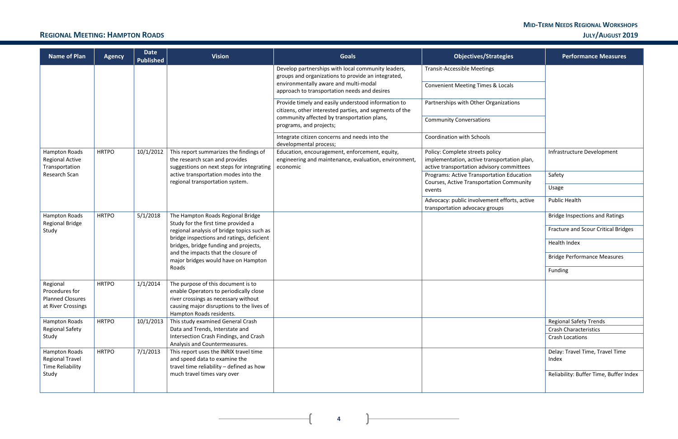#### **MID-TERM NEEDS REGIONAL WORKSHOPS REGIONAL MEETING: HAMPTON ROADS JULY/AUGUST 2019**

 $\mathcal{L}$ 

n

| <b>Name of Plan</b>                                                         | <b>Agency</b> | <b>Date</b><br><b>Published</b> | <b>Vision</b>                                                                                                                                                                                 | <b>Goals</b>                                                                                                                                                                                      | <b>Objectives/Strategies</b>                                                                                                | <b>Performance Measures</b>                            |
|-----------------------------------------------------------------------------|---------------|---------------------------------|-----------------------------------------------------------------------------------------------------------------------------------------------------------------------------------------------|---------------------------------------------------------------------------------------------------------------------------------------------------------------------------------------------------|-----------------------------------------------------------------------------------------------------------------------------|--------------------------------------------------------|
|                                                                             |               |                                 |                                                                                                                                                                                               | Develop partnerships with local community leaders,<br>groups and organizations to provide an integrated,<br>environmentally aware and multi-modal<br>approach to transportation needs and desires | <b>Transit-Accessible Meetings</b><br><b>Convenient Meeting Times &amp; Locals</b>                                          |                                                        |
|                                                                             |               |                                 |                                                                                                                                                                                               | Provide timely and easily understood information to<br>citizens, other interested parties, and segments of the<br>community affected by transportation plans,                                     | Partnerships with Other Organizations                                                                                       |                                                        |
|                                                                             |               |                                 |                                                                                                                                                                                               | programs, and projects;                                                                                                                                                                           | <b>Community Conversations</b>                                                                                              |                                                        |
|                                                                             |               |                                 |                                                                                                                                                                                               | Integrate citizen concerns and needs into the<br>developmental process;                                                                                                                           | <b>Coordination with Schools</b>                                                                                            |                                                        |
| Hampton Roads<br><b>Regional Active</b><br>Transportation                   | <b>HRTPO</b>  | 10/1/2012                       | This report summarizes the findings of<br>the research scan and provides<br>suggestions on next steps for integrating                                                                         | Education, encouragement, enforcement, equity,<br>engineering and maintenance, evaluation, environment,<br>economic                                                                               | Policy: Complete streets policy<br>implementation, active transportation plan,<br>active transportation advisory committees | Infrastructure Development                             |
| Research Scan                                                               |               |                                 | active transportation modes into the<br>regional transportation system.                                                                                                                       |                                                                                                                                                                                                   | Programs: Active Transportation Education<br><b>Courses, Active Transportation Community</b>                                | Safety                                                 |
|                                                                             |               |                                 |                                                                                                                                                                                               |                                                                                                                                                                                                   | events                                                                                                                      | Usage                                                  |
|                                                                             |               |                                 |                                                                                                                                                                                               |                                                                                                                                                                                                   | Advocacy: public involvement efforts, active<br>transportation advocacy groups                                              | <b>Public Health</b>                                   |
| Hampton Roads<br>Regional Bridge                                            | <b>HRTPO</b>  | 5/1/2018                        | The Hampton Roads Regional Bridge<br>Study for the first time provided a                                                                                                                      |                                                                                                                                                                                                   |                                                                                                                             | <b>Bridge Inspections and Ratings</b>                  |
| Study                                                                       |               |                                 | regional analysis of bridge topics such as                                                                                                                                                    |                                                                                                                                                                                                   |                                                                                                                             | Fracture and Scour Critical Bridges                    |
|                                                                             |               |                                 | bridge inspections and ratings, deficient<br>bridges, bridge funding and projects,                                                                                                            |                                                                                                                                                                                                   |                                                                                                                             | <b>Health Index</b>                                    |
|                                                                             |               |                                 | and the impacts that the closure of<br>major bridges would have on Hampton                                                                                                                    |                                                                                                                                                                                                   |                                                                                                                             | <b>Bridge Performance Measures</b>                     |
|                                                                             |               |                                 | Roads                                                                                                                                                                                         |                                                                                                                                                                                                   |                                                                                                                             | Funding                                                |
| Regional<br>Procedures for<br><b>Planned Closures</b><br>at River Crossings | <b>HRTPO</b>  | 1/1/2014                        | The purpose of this document is to<br>enable Operators to periodically close<br>river crossings as necessary without<br>causing major disruptions to the lives of<br>Hampton Roads residents. |                                                                                                                                                                                                   |                                                                                                                             |                                                        |
| Hampton Roads                                                               | <b>HRTPO</b>  | 10/1/2013                       | This study examined General Crash                                                                                                                                                             |                                                                                                                                                                                                   |                                                                                                                             | <b>Regional Safety Trends</b>                          |
| <b>Regional Safety</b><br>Study                                             |               |                                 | Data and Trends, Interstate and<br>Intersection Crash Findings, and Crash<br>Analysis and Countermeasures.                                                                                    |                                                                                                                                                                                                   |                                                                                                                             | <b>Crash Characteristics</b><br><b>Crash Locations</b> |
| Hampton Roads<br><b>Regional Travel</b>                                     | <b>HRTPO</b>  | 7/1/2013                        | This report uses the INRIX travel time<br>and speed data to examine the                                                                                                                       |                                                                                                                                                                                                   |                                                                                                                             | Delay: Travel Time, Travel Time<br>Index               |
| <b>Time Reliability</b><br>Study                                            |               |                                 | travel time reliability - defined as how<br>much travel times vary over                                                                                                                       |                                                                                                                                                                                                   |                                                                                                                             | Reliability: Buffer Time, Buffer Index                 |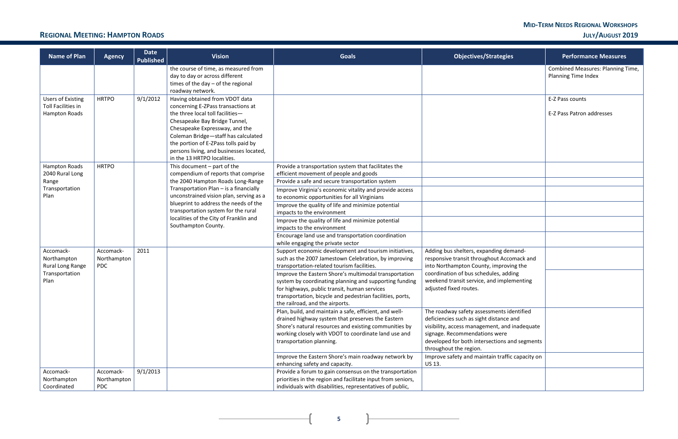### **REGIONAL MEETING: HAMPTON ROADS JULY/AUGUST 2019**

<u> 1989 - Johann Barbara, martxa alemaniar a</u>

| <b>Name of Plan</b>                                                 | <b>Agency</b>                          | <b>Date</b><br><b>Published</b> | <b>Vision</b>                                                                                                                                                                                                                                                                                                                        | <b>Goals</b>                                                                                                                                                                                                                                                    | <b>Objectives/Strategies</b>                                                                                                                                                                                                                      | <b>Performance Measures</b>                              |
|---------------------------------------------------------------------|----------------------------------------|---------------------------------|--------------------------------------------------------------------------------------------------------------------------------------------------------------------------------------------------------------------------------------------------------------------------------------------------------------------------------------|-----------------------------------------------------------------------------------------------------------------------------------------------------------------------------------------------------------------------------------------------------------------|---------------------------------------------------------------------------------------------------------------------------------------------------------------------------------------------------------------------------------------------------|----------------------------------------------------------|
|                                                                     |                                        |                                 | the course of time, as measured from<br>day to day or across different<br>times of the day - of the regional<br>roadway network.                                                                                                                                                                                                     |                                                                                                                                                                                                                                                                 |                                                                                                                                                                                                                                                   | Combined Measures: Planning Time,<br>Planning Time Index |
| <b>Users of Existing</b><br>Toll Facilities in<br>Hampton Roads     | <b>HRTPO</b>                           | 9/1/2012                        | Having obtained from VDOT data<br>concerning E-ZPass transactions at<br>the three local toll facilities-<br>Chesapeake Bay Bridge Tunnel,<br>Chesapeake Expressway, and the<br>Coleman Bridge-staff has calculated<br>the portion of E-ZPass tolls paid by<br>persons living, and businesses located,<br>in the 13 HRTPO localities. |                                                                                                                                                                                                                                                                 |                                                                                                                                                                                                                                                   | E-Z Pass counts<br>E-Z Pass Patron addresses             |
| Hampton Roads<br>2040 Rural Long<br>Range<br>Transportation<br>Plan | <b>HRTPO</b>                           |                                 | This document $-$ part of the<br>compendium of reports that comprise<br>the 2040 Hampton Roads Long-Range<br>Transportation Plan - is a financially<br>unconstrained vision plan, serving as a                                                                                                                                       | Provide a transportation system that facilitates the<br>efficient movement of people and goods<br>Provide a safe and secure transportation system<br>Improve Virginia's economic vitality and provide access<br>to economic opportunities for all Virginians    |                                                                                                                                                                                                                                                   |                                                          |
|                                                                     |                                        |                                 | blueprint to address the needs of the<br>transportation system for the rural<br>localities of the City of Franklin and<br>Southampton County.                                                                                                                                                                                        | Improve the quality of life and minimize potential<br>impacts to the environment<br>Improve the quality of life and minimize potential<br>impacts to the environment                                                                                            |                                                                                                                                                                                                                                                   |                                                          |
|                                                                     |                                        |                                 |                                                                                                                                                                                                                                                                                                                                      | Encourage land use and transportation coordination<br>while engaging the private sector                                                                                                                                                                         |                                                                                                                                                                                                                                                   |                                                          |
| Accomack-<br>Northampton<br>Rural Long Range                        | Accomack-<br>Northampton<br><b>PDC</b> | 2011                            |                                                                                                                                                                                                                                                                                                                                      | Support economic development and tourism initiatives,<br>such as the 2007 Jamestown Celebration, by improving<br>transportation-related tourism facilities.                                                                                                     | Adding bus shelters, expanding demand-<br>responsive transit throughout Accomack and<br>into Northampton County, improving the                                                                                                                    |                                                          |
| Transportation<br>Plan                                              |                                        |                                 |                                                                                                                                                                                                                                                                                                                                      | Improve the Eastern Shore's multimodal transportation<br>system by coordinating planning and supporting funding<br>for highways, public transit, human services<br>transportation, bicycle and pedestrian facilities, ports,<br>the railroad, and the airports. | coordination of bus schedules, adding<br>weekend transit service, and implementing<br>adjusted fixed routes.                                                                                                                                      |                                                          |
|                                                                     |                                        |                                 |                                                                                                                                                                                                                                                                                                                                      | Plan, build, and maintain a safe, efficient, and well-<br>drained highway system that preserves the Eastern<br>Shore's natural resources and existing communities by<br>working closely with VDOT to coordinate land use and<br>transportation planning.        | The roadway safety assessments identified<br>deficiencies such as sight distance and<br>visibility, access management, and inadequate<br>signage. Recommendations were<br>developed for both intersections and segments<br>throughout the region. |                                                          |
|                                                                     |                                        |                                 |                                                                                                                                                                                                                                                                                                                                      | Improve the Eastern Shore's main roadway network by<br>enhancing safety and capacity.                                                                                                                                                                           | Improve safety and maintain traffic capacity on<br>US 13.                                                                                                                                                                                         |                                                          |
| Accomack-<br>Northampton<br>Coordinated                             | Accomack-<br>Northampton<br><b>PDC</b> | 9/1/2013                        |                                                                                                                                                                                                                                                                                                                                      | Provide a forum to gain consensus on the transportation<br>priorities in the region and facilitate input from seniors,<br>individuals with disabilities, representatives of public,                                                                             |                                                                                                                                                                                                                                                   |                                                          |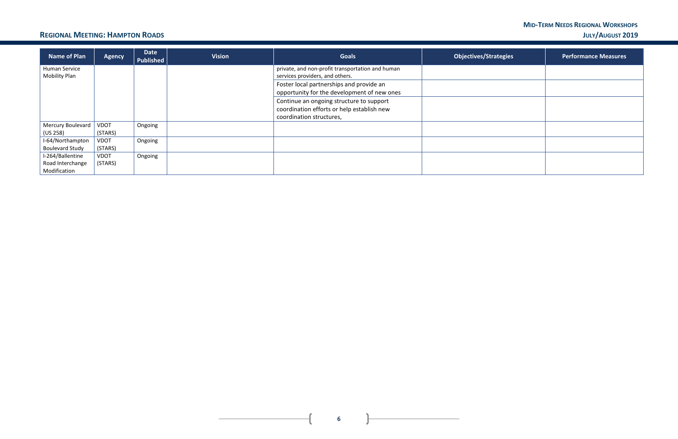#### **MID-TERM NEEDS REGIONAL WORKSHOPS REGIONAL MEETING: HAMPTON ROADS JULY/AUGUST 2019**

 $\mathbf{L}$ 

 $\mathbf{r}$ 

 $\frac{1}{2}$ 

| Name of Plan                          | <b>Agency</b>          | <b>Date</b><br>Published | <b>Vision</b> | <b>Goals</b>                                                                            | <b>Objectives/Strategies</b> | <b>Performance Measures</b> |
|---------------------------------------|------------------------|--------------------------|---------------|-----------------------------------------------------------------------------------------|------------------------------|-----------------------------|
| Human Service<br><b>Mobility Plan</b> |                        |                          |               | private, and non-profit transportation and human<br>services providers, and others.     |                              |                             |
|                                       |                        |                          |               | Foster local partnerships and provide an<br>opportunity for the development of new ones |                              |                             |
|                                       |                        |                          |               | Continue an ongoing structure to support<br>coordination efforts or help establish new  |                              |                             |
|                                       |                        |                          |               | coordination structures,                                                                |                              |                             |
| Mercury Boulevard<br>(US 258)         | <b>VDOT</b><br>(STARS) | Ongoing                  |               |                                                                                         |                              |                             |
| I-64/Northampton                      | <b>VDOT</b>            | Ongoing                  |               |                                                                                         |                              |                             |
| <b>Boulevard Study</b>                | (STARS)                |                          |               |                                                                                         |                              |                             |
| I-264/Ballentine                      | <b>VDOT</b>            | Ongoing                  |               |                                                                                         |                              |                             |
| Road Interchange                      | (STARS)                |                          |               |                                                                                         |                              |                             |
| Modification                          |                        |                          |               |                                                                                         |                              |                             |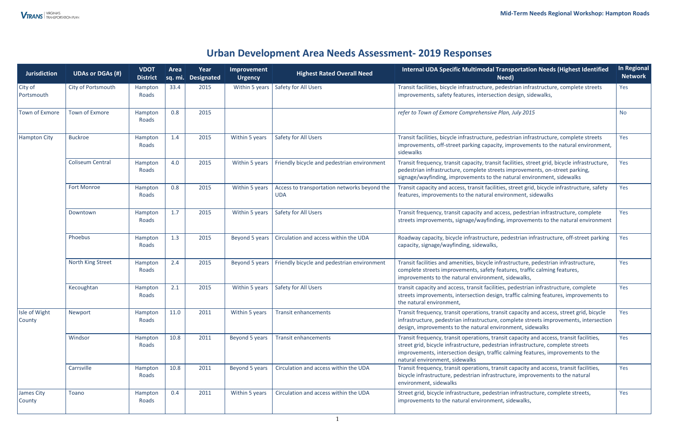### **Urban Development Area Needs Assessment- 2019 Responses**

| <b>Jurisdiction</b>            | <b>UDAs or DGAs (#)</b> | <b>VDOT</b><br><b>District</b> | Area<br>sq. mi. | Year<br><b>Designated</b> | Improvement<br>Urgency | <b>Highest Rated Overall Need</b>                          | Internal UDA Specific Multimodal Transportation Needs (Highest Identified<br>Need)                                                                                                                                                                                                                | In Regional<br><b>Network</b> |
|--------------------------------|-------------------------|--------------------------------|-----------------|---------------------------|------------------------|------------------------------------------------------------|---------------------------------------------------------------------------------------------------------------------------------------------------------------------------------------------------------------------------------------------------------------------------------------------------|-------------------------------|
| City of<br>Portsmouth          | City of Portsmouth      | Hampton<br>Roads               | 33.4            | 2015                      | Within 5 years         | Safety for All Users                                       | Transit facilities, bicycle infrastructure, pedestrian infrastructure, complete streets<br>improvements, safety features, intersection design, sidewalks,                                                                                                                                         | Yes                           |
| <b>Town of Exmore</b>          | <b>Town of Exmore</b>   | Hampton<br>Roads               | 0.8             | 2015                      |                        |                                                            | refer to Town of Exmore Comprehensive Plan, July 2015                                                                                                                                                                                                                                             | <b>No</b>                     |
| <b>Hampton City</b>            | <b>Buckroe</b>          | Hampton<br>Roads               | 1.4             | 2015                      | Within 5 years         | Safety for All Users                                       | Transit facilities, bicycle infrastructure, pedestrian infrastructure, complete streets<br>improvements, off-street parking capacity, improvements to the natural environment,<br>sidewalks                                                                                                       | Yes                           |
|                                | <b>Coliseum Central</b> | Hampton<br>Roads               | 4.0             | 2015                      | Within 5 years         | Friendly bicycle and pedestrian environment                | Transit frequency, transit capacity, transit facilities, street grid, bicycle infrastructure,<br>pedestrian infrastructure, complete streets improvements, on-street parking,<br>signage/wayfinding, improvements to the natural environment, sidewalks                                           | Yes                           |
|                                | <b>Fort Monroe</b>      | Hampton<br>Roads               | 0.8             | 2015                      | Within 5 years         | Access to transportation networks beyond the<br><b>UDA</b> | Transit capacity and access, transit facilities, street grid, bicycle infrastructure, safety<br>features, improvements to the natural environment, sidewalks                                                                                                                                      | Yes                           |
|                                | Downtown                | Hampton<br>Roads               | 1.7             | 2015                      | Within 5 years         | Safety for All Users                                       | Transit frequency, transit capacity and access, pedestrian infrastructure, complete<br>streets improvements, signage/wayfinding, improvements to the natural environment                                                                                                                          | Yes                           |
|                                | Phoebus                 | Hampton<br>Roads               | 1.3             | 2015                      | Beyond 5 years         | Circulation and access within the UDA                      | Roadway capacity, bicycle infrastructure, pedestrian infrastructure, off-street parking<br>capacity, signage/wayfinding, sidewalks,                                                                                                                                                               | Yes                           |
|                                | North King Street       | Hampton<br>Roads               | 2.4             | 2015                      | Beyond 5 years         | Friendly bicycle and pedestrian environment                | Transit facilities and amenities, bicycle infrastructure, pedestrian infrastructure,<br>complete streets improvements, safety features, traffic calming features,<br>improvements to the natural environment, sidewalks,                                                                          | Yes                           |
|                                | Kecoughtan              | Hampton<br>Roads               | 2.1             | 2015                      | Within 5 years         | Safety for All Users                                       | transit capacity and access, transit facilities, pedestrian infrastructure, complete<br>streets improvements, intersection design, traffic calming features, improvements to<br>the natural environment,                                                                                          | Yes                           |
| Isle of Wight<br><b>County</b> | Newport                 | Hampton<br>Roads               | $11.0$          | 2011                      | Within 5 years         | <b>Transit enhancements</b>                                | Transit frequency, transit operations, transit capacity and access, street grid, bicycle<br>infrastructure, pedestrian infrastructure, complete streets improvements, intersection<br>design, improvements to the natural environment, sidewalks                                                  | <b>Yes</b>                    |
|                                | Windsor                 | Hampton<br>Roads               | 10.8            | 2011                      | Beyond 5 years         | <b>Transit enhancements</b>                                | Transit frequency, transit operations, transit capacity and access, transit facilities,<br>street grid, bicycle infrastructure, pedestrian infrastructure, complete streets<br>improvements, intersection design, traffic calming features, improvements to the<br>natural environment, sidewalks | Yes                           |
|                                | Carrsville              | Hampton<br>Roads               | 10.8            | 2011                      | Beyond 5 years         | Circulation and access within the UDA                      | Transit frequency, transit operations, transit capacity and access, transit facilities,<br>bicycle infrastructure, pedestrian infrastructure, improvements to the natural<br>environment, sidewalks                                                                                               | Yes                           |
| James City<br><b>County</b>    | Toano                   | Hampton<br>Roads               | 0.4             | 2011                      | Within 5 years         | Circulation and access within the UDA                      | Street grid, bicycle infrastructure, pedestrian infrastructure, complete streets,<br>improvements to the natural environment, sidewalks,                                                                                                                                                          | Yes                           |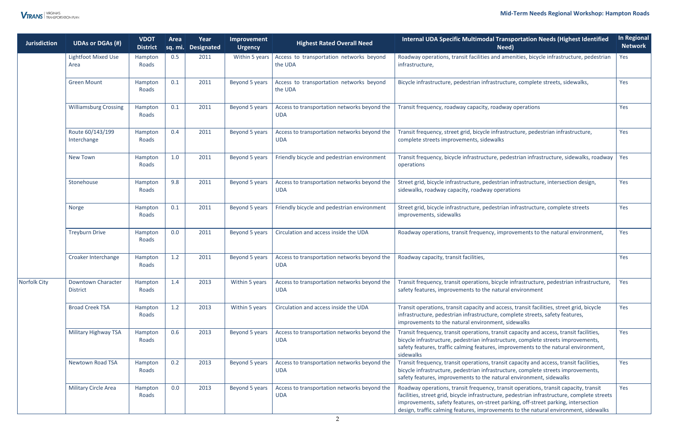#### **Mid-Term Needs Regional Workshop: Hampton Roads**

| <b>Jurisdiction</b> | <b>UDAs or DGAs (#)</b>                      | <b>VDOT</b><br><b>District</b> | Area | Year<br>sq. mi. Designated | Improvement<br><b>Urgency</b> | <b>Highest Rated Overall Need</b>                          | <b>Internal UDA Specific Multimodal Transportation Needs (Highest Identified</b><br>Need)                                                                                                                                                                                                                                                                          | <b>In Regional</b><br><b>Network</b> |
|---------------------|----------------------------------------------|--------------------------------|------|----------------------------|-------------------------------|------------------------------------------------------------|--------------------------------------------------------------------------------------------------------------------------------------------------------------------------------------------------------------------------------------------------------------------------------------------------------------------------------------------------------------------|--------------------------------------|
|                     | <b>Lightfoot Mixed Use</b><br>Area           | Hampton<br>Roads               | 0.5  | 2011                       | Within 5 years                | Access to transportation networks beyond<br>the UDA        | Roadway operations, transit facilities and amenities, bicycle infrastructure, pedestrian<br>infrastructure,                                                                                                                                                                                                                                                        | Yes                                  |
|                     | <b>Green Mount</b>                           | Hampton<br>Roads               | 0.1  | 2011                       | Beyond 5 years                | Access to transportation networks beyond<br>the UDA        | Bicycle infrastructure, pedestrian infrastructure, complete streets, sidewalks,                                                                                                                                                                                                                                                                                    | Yes                                  |
|                     | <b>Williamsburg Crossing</b>                 | Hampton<br>Roads               | 0.1  | 2011                       | Beyond 5 years                | Access to transportation networks beyond the<br><b>UDA</b> | Transit frequency, roadway capacity, roadway operations                                                                                                                                                                                                                                                                                                            | Yes                                  |
|                     | Route 60/143/199<br>Interchange              | Hampton<br>Roads               | 0.4  | 2011                       | Beyond 5 years                | Access to transportation networks beyond the<br><b>UDA</b> | Transit frequency, street grid, bicycle infrastructure, pedestrian infrastructure,<br>complete streets improvements, sidewalks                                                                                                                                                                                                                                     | Yes                                  |
|                     | <b>New Town</b>                              | Hampton<br>Roads               | 1.0  | 2011                       | Beyond 5 years                | Friendly bicycle and pedestrian environment                | Transit frequency, bicycle infrastructure, pedestrian infrastructure, sidewalks, roadway<br>operations                                                                                                                                                                                                                                                             | <b>Yes</b>                           |
|                     | Stonehouse                                   | Hampton<br>Roads               | 9.8  | 2011                       | Beyond 5 years                | Access to transportation networks beyond the<br><b>UDA</b> | Street grid, bicycle infrastructure, pedestrian infrastructure, intersection design,<br>sidewalks, roadway capacity, roadway operations                                                                                                                                                                                                                            | Yes                                  |
|                     | Norge                                        | Hampton<br>Roads               | 0.1  | 2011                       | Beyond 5 years                | Friendly bicycle and pedestrian environment                | Street grid, bicycle infrastructure, pedestrian infrastructure, complete streets<br>improvements, sidewalks                                                                                                                                                                                                                                                        | Yes                                  |
|                     | <b>Treyburn Drive</b>                        | Hampton<br>Roads               | 0.0  | 2011                       | Beyond 5 years                | Circulation and access inside the UDA                      | Roadway operations, transit frequency, improvements to the natural environment,                                                                                                                                                                                                                                                                                    | Yes                                  |
|                     | Croaker Interchange                          | Hampton<br>Roads               | 1.2  | 2011                       | Beyond 5 years                | Access to transportation networks beyond the<br><b>UDA</b> | Roadway capacity, transit facilities,                                                                                                                                                                                                                                                                                                                              | Yes                                  |
| Norfolk City        | <b>Downtown Character</b><br><b>District</b> | Hampton<br>Roads               | 1.4  | 2013                       | Within 5 years                | Access to transportation networks beyond the<br><b>UDA</b> | Transit frequency, transit operations, bicycle infrastructure, pedestrian infrastructure,<br>safety features, improvements to the natural environment                                                                                                                                                                                                              | Yes                                  |
|                     | <b>Broad Creek TSA</b>                       | Hampton<br>Roads               | 1.2  | 2013                       | Within 5 years                | Circulation and access inside the UDA                      | Transit operations, transit capacity and access, transit facilities, street grid, bicycle<br>infrastructure, pedestrian infrastructure, complete streets, safety features,<br>improvements to the natural environment, sidewalks                                                                                                                                   | Yes                                  |
|                     | Military Highway TSA                         | Hampton<br>Roads               | 0.6  | 2013                       | Beyond 5 years                | Access to transportation networks beyond the<br><b>UDA</b> | Transit frequency, transit operations, transit capacity and access, transit facilities,<br>bicycle infrastructure, pedestrian infrastructure, complete streets improvements,<br>safety features, traffic calming features, improvements to the natural environment,<br>sidewalks                                                                                   | Yes                                  |
|                     | <b>Newtown Road TSA</b>                      | Hampton<br>Roads               | 0.2  | 2013                       | Beyond 5 years                | Access to transportation networks beyond the<br><b>UDA</b> | Transit frequency, transit operations, transit capacity and access, transit facilities,<br>bicycle infrastructure, pedestrian infrastructure, complete streets improvements,<br>safety features, improvements to the natural environment, sidewalks                                                                                                                | Yes                                  |
|                     | <b>Military Circle Area</b>                  | Hampton<br>Roads               | 0.0  | 2013                       | Beyond 5 years                | Access to transportation networks beyond the<br><b>UDA</b> | Roadway operations, transit frequency, transit operations, transit capacity, transit<br>facilities, street grid, bicycle infrastructure, pedestrian infrastructure, complete streets<br>improvements, safety features, on-street parking, off-street parking, intersection<br>design, traffic calming features, improvements to the natural environment, sidewalks | Yes                                  |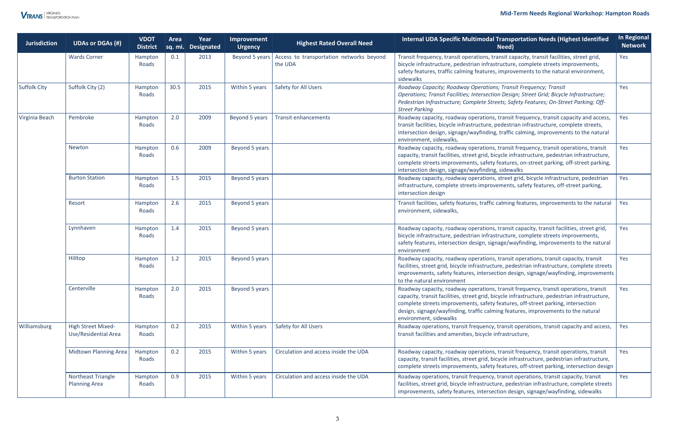#### **Mid-Term Needs Regional Workshop: Hampton Roads**



| <b>Jurisdiction</b> | <b>UDAs or DGAs (#)</b>                           | <b>VDOT</b><br><b>District</b> | Area | Year<br>sq. mi. Designated | Improvement<br><b>Urgency</b> | <b>Highest Rated Overall Need</b>                   | Internal UDA Specific Multimodal Transportation Needs (Highest Identified<br>Need)                                                                                                                                                                                                                                                                                                       | In Regional<br><b>Network</b> |
|---------------------|---------------------------------------------------|--------------------------------|------|----------------------------|-------------------------------|-----------------------------------------------------|------------------------------------------------------------------------------------------------------------------------------------------------------------------------------------------------------------------------------------------------------------------------------------------------------------------------------------------------------------------------------------------|-------------------------------|
|                     | <b>Wards Corner</b>                               | Hampton<br>Roads               | 0.1  | 2013                       | Beyond 5 years                | Access to transportation networks beyond<br>the UDA | Transit frequency, transit operations, transit capacity, transit facilities, street grid,<br>bicycle infrastructure, pedestrian infrastructure, complete streets improvements,<br>safety features, traffic calming features, improvements to the natural environment,<br>sidewalks                                                                                                       | Yes                           |
| Suffolk City        | Suffolk City (2)                                  | Hampton<br>Roads               | 30.5 | 2015                       | Within 5 years                | Safety for All Users                                | Roadway Capacity; Roadway Operations; Transit Frequency; Transit<br>Operations; Transit Facilities; Intersection Design; Street Grid; Bicycle Infrastructure;<br>Pedestrian Infrastructure; Complete Streets; Safety Features; On-Street Parking; Off-<br><b>Street Parking</b>                                                                                                          | Yes                           |
| Virginia Beach      | Pembroke                                          | Hampton<br>Roads               | 2.0  | 2009                       | Beyond 5 years                | <b>Transit enhancements</b>                         | Roadway capacity, roadway operations, transit frequency, transit capacity and access,<br>transit facilities, bicycle infrastructure, pedestrian infrastructure, complete streets,<br>intersection design, signage/wayfinding, traffic calming, improvements to the natural<br>environment, sidewalks,                                                                                    | Yes                           |
|                     | Newton                                            | Hampton<br>Roads               | 0.6  | 2009                       | Beyond 5 years                |                                                     | Roadway capacity, roadway operations, transit frequency, transit operations, transit<br>capacity, transit facilities, street grid, bicycle infrastructure, pedestrian infrastructure,<br>complete streets improvements, safety features, on-street parking, off-street parking,<br>intersection design, signage/wayfinding, sidewalks                                                    | Yes                           |
|                     | <b>Burton Station</b>                             | Hampton<br>Roads               | 1.5  | 2015                       | Beyond 5 years                |                                                     | Roadway capacity, roadway operations, street grid, bicycle infrastructure, pedestrian<br>infrastructure, complete streets improvements, safety features, off-street parking,<br>intersection design                                                                                                                                                                                      | Yes                           |
|                     | Resort                                            | Hampton<br>Roads               | 2.6  | 2015                       | Beyond 5 years                |                                                     | Transit facilities, safety features, traffic calming features, improvements to the natural<br>environment, sidewalks,                                                                                                                                                                                                                                                                    | Yes                           |
|                     | Lynnhaven                                         | Hampton<br>Roads               | 1.4  | 2015                       | Beyond 5 years                |                                                     | Roadway capacity, roadway operations, transit capacity, transit facilities, street grid,<br>bicycle infrastructure, pedestrian infrastructure, complete streets improvements,<br>safety features, intersection design, signage/wayfinding, improvements to the natural<br>environment                                                                                                    | Yes                           |
|                     | Hilltop                                           | Hampton<br>Roads               | 1.2  | 2015                       | Beyond 5 years                |                                                     | Roadway capacity, roadway operations, transit operations, transit capacity, transit<br>facilities, street grid, bicycle infrastructure, pedestrian infrastructure, complete streets<br>improvements, safety features, intersection design, signage/wayfinding, improvements<br>to the natural environment                                                                                | Yes                           |
|                     | Centerville                                       | Hampton<br>Roads               | 2.0  | 2015                       | Beyond 5 years                |                                                     | Roadway capacity, roadway operations, transit frequency, transit operations, transit<br>capacity, transit facilities, street grid, bicycle infrastructure, pedestrian infrastructure,<br>complete streets improvements, safety features, off-street parking, intersection<br>design, signage/wayfinding, traffic calming features, improvements to the natural<br>environment, sidewalks | Yes                           |
| Williamsburg        | <b>High Street Mixed-</b><br>Use/Residential Area | Hampton<br>Roads               | 0.2  | 2015                       | Within 5 years                | Safety for All Users                                | Roadway operations, transit frequency, transit operations, transit capacity and access,<br>transit facilities and amenities, bicycle infrastructure,                                                                                                                                                                                                                                     | Yes                           |
|                     | Midtown Planning Area                             | Hampton<br>Roads               | 0.2  | 2015                       | Within 5 years                | Circulation and access inside the UDA               | Roadway capacity, roadway operations, transit frequency, transit operations, transit<br>capacity, transit facilities, street grid, bicycle infrastructure, pedestrian infrastructure,<br>complete streets improvements, safety features, off-street parking, intersection design                                                                                                         | Yes                           |
|                     | <b>Northeast Triangle</b><br><b>Planning Area</b> | Hampton<br>Roads               | 0.9  | 2015                       | Within 5 years                | Circulation and access inside the UDA               | Roadway operations, transit frequency, transit operations, transit capacity, transit<br>facilities, street grid, bicycle infrastructure, pedestrian infrastructure, complete streets<br>improvements, safety features, intersection design, signage/wayfinding, sidewalks                                                                                                                | Yes                           |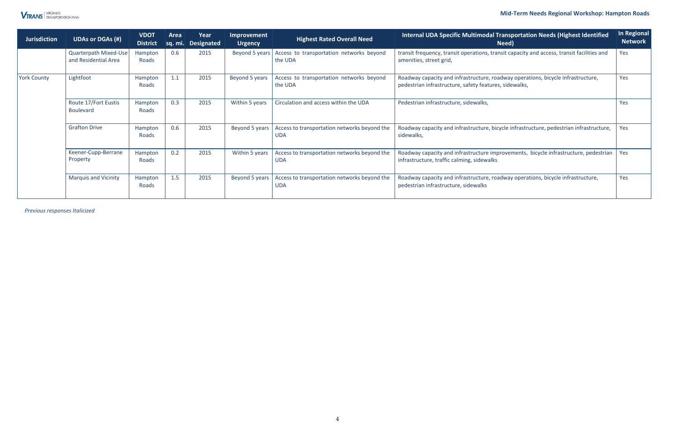#### **Mid-Term Needs Regional Workshop: Hampton Roads**

*Previous responses Italicized* 



| <b>Jurisdiction</b> | <b>UDAs or DGAs (#)</b>                       | <b>VDOT</b><br><b>District</b> | Area<br>Sq. mi. | Year<br><b>Designated</b> | Improvement<br><b>Urgency</b> | <b>Highest Rated Overall Need</b>                          | Internal UDA Specific Multimodal Transportation Needs (Highest Identified<br>Need)                                                         | <b>In Regional</b><br><b>Network</b> |
|---------------------|-----------------------------------------------|--------------------------------|-----------------|---------------------------|-------------------------------|------------------------------------------------------------|--------------------------------------------------------------------------------------------------------------------------------------------|--------------------------------------|
|                     | Quarterpath Mixed-Use<br>and Residential Area | Hampton<br>Roads               | 0.6             | 2015                      | Beyond 5 years                | Access to transportation networks beyond<br>the UDA        | transit frequency, transit operations, transit capacity and access, transit facilities and<br>amenities, street grid,                      | Yes                                  |
| <b>York County</b>  | Lightfoot                                     | Hampton<br>Roads               | 1.1             | 2015                      | Beyond 5 years                | Access to transportation networks beyond<br>the UDA        | Roadway capacity and infrastructure, roadway operations, bicycle infrastructure,<br>pedestrian infrastructure, safety features, sidewalks, | Yes                                  |
|                     | Route 17/Fort Eustis<br><b>Boulevard</b>      | Hampton<br>Roads               | 0.3             | 2015                      | Within 5 years                | Circulation and access within the UDA                      | Pedestrian infrastructure, sidewalks,                                                                                                      | Yes                                  |
|                     | <b>Grafton Drive</b>                          | Hampton<br>Roads               | 0.6             | 2015                      | Beyond 5 years                | Access to transportation networks beyond the<br><b>UDA</b> | Roadway capacity and infrastructure, bicycle infrastructure, pedestrian infrastructure,<br>sidewalks,                                      | Yes                                  |
|                     | Keener-Cupp-Berrane<br>Property               | Hampton<br>Roads               | 0.2             | 2015                      | Within 5 years                | Access to transportation networks beyond the<br><b>UDA</b> | Roadway capacity and infrastructure improvements, bicycle infrastructure, pedestrian<br>infrastructure, traffic calming, sidewalks         | Yes                                  |
|                     | <b>Marquis and Vicinity</b>                   | Hampton<br>Roads               | 1.5             | 2015                      | Beyond 5 years                | Access to transportation networks beyond the<br><b>UDA</b> | Roadway capacity and infrastructure, roadway operations, bicycle infrastructure,<br>pedestrian infrastructure, sidewalks                   | Yes                                  |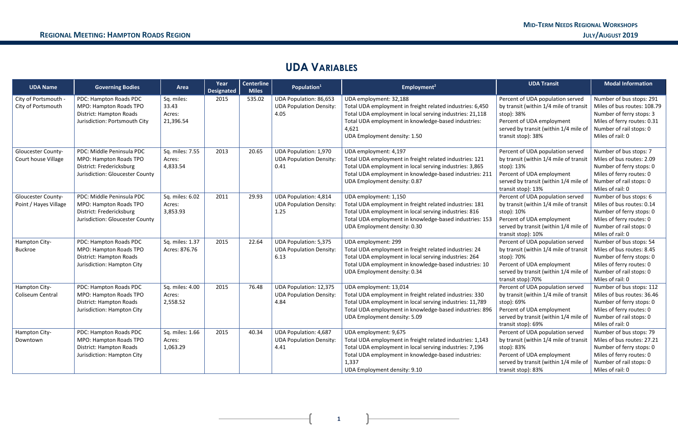### **UDA VARIABLES**

| <b>UDA Name</b>                                    | <b>Governing Bodies</b>                                                                                            | Area                                       | Year<br><b>Designated</b> | <b>Centerline</b><br><b>Miles</b> | Population <sup>1</sup>                                                 | Employment <sup>2</sup>                                                                                                                                                                                                                         | <b>UDA Transit</b>                                                                                                                                                                   | <b>Modal Information</b>                                                                                                                                          |
|----------------------------------------------------|--------------------------------------------------------------------------------------------------------------------|--------------------------------------------|---------------------------|-----------------------------------|-------------------------------------------------------------------------|-------------------------------------------------------------------------------------------------------------------------------------------------------------------------------------------------------------------------------------------------|--------------------------------------------------------------------------------------------------------------------------------------------------------------------------------------|-------------------------------------------------------------------------------------------------------------------------------------------------------------------|
| City of Portsmouth<br>City of Portsmouth           | PDC: Hampton Roads PDC<br>MPO: Hampton Roads TPO<br>District: Hampton Roads<br>Jurisdiction: Portsmouth City       | Sq. miles:<br>33.43<br>Acres:<br>21,396.54 | 2015                      | 535.02                            | UDA Population: 86,653<br><b>UDA Population Density:</b><br>4.05        | UDA employment: 32,188<br>Total UDA employment in freight related industries: 6,450<br>Total UDA employment in local serving industries: 21,118<br>Total UDA employment in knowledge-based industries:<br>4,621<br>UDA Employment density: 1.50 | Percent of UDA population served<br>by transit (within 1/4 mile of transit<br>stop): 38%<br>Percent of UDA employment<br>served by transit (within 1/4 mile of<br>transit stop): 38% | Number of bus stops: 291<br>Miles of bus routes: 108.79<br>Number of ferry stops: 3<br>Miles of ferry routes: 0.31<br>Number of rail stops: 0<br>Miles of rail: 0 |
| Gloucester County-<br>Court house Village          | PDC: Middle Peninsula PDC<br>MPO: Hampton Roads TPO<br>District: Fredericksburg<br>Jurisdiction: Gloucester County | Sq. miles: 7.55<br>Acres:<br>4,833.54      | 2013                      | 20.65                             | <b>UDA Population: 1,970</b><br><b>UDA Population Density:</b><br>0.41  | UDA employment: 4,197<br>Total UDA employment in freight related industries: 121<br>Total UDA employment in local serving industries: 3,865<br>Total UDA employment in knowledge-based industries: 211<br>UDA Employment density: 0.87          | Percent of UDA population served<br>by transit (within 1/4 mile of transit<br>stop): 13%<br>Percent of UDA employment<br>served by transit (within 1/4 mile of<br>transit stop): 13% | Number of bus stops: 7<br>Miles of bus routes: 2.09<br>Number of ferry stops: 0<br>Miles of ferry routes: 0<br>Number of rail stops: 0<br>Miles of rail: 0        |
| <b>Gloucester County-</b><br>Point / Hayes Village | PDC: Middle Peninsula PDC<br>MPO: Hampton Roads TPO<br>District: Fredericksburg<br>Jurisdiction: Gloucester County | Sq. miles: 6.02<br>Acres:<br>3,853.93      | 2011                      | 29.93                             | <b>UDA Population: 4,814</b><br><b>UDA Population Density:</b><br>1.25  | UDA employment: 1,150<br>Total UDA employment in freight related industries: 181<br>Total UDA employment in local serving industries: 816<br>Total UDA employment in knowledge-based industries: 153<br>UDA Employment density: 0.30            | Percent of UDA population served<br>by transit (within 1/4 mile of transit<br>stop): 10%<br>Percent of UDA employment<br>served by transit (within 1/4 mile of<br>transit stop): 10% | Number of bus stops: 6<br>Miles of bus routes: 0.14<br>Number of ferry stops: 0<br>Miles of ferry routes: 0<br>Number of rail stops: 0<br>Miles of rail: 0        |
| Hampton City-<br>Buckroe                           | PDC: Hampton Roads PDC<br>MPO: Hampton Roads TPO<br>District: Hampton Roads<br>Jurisdiction: Hampton City          | Sq. miles: 1.37<br>Acres: 876.76           | 2015                      | 22.64                             | UDA Population: 5,375<br><b>UDA Population Density:</b><br>6.13         | UDA employment: 299<br>Total UDA employment in freight related industries: 24<br>Total UDA employment in local serving industries: 264<br>Total UDA employment in knowledge-based industries: 10<br>UDA Employment density: 0.34                | Percent of UDA population served<br>by transit (within 1/4 mile of transit<br>stop): 70%<br>Percent of UDA employment<br>served by transit (within 1/4 mile of<br>transit stop):70%  | Number of bus stops: 54<br>Miles of bus routes: 8.45<br>Number of ferry stops: 0<br>Miles of ferry routes: 0<br>Number of rail stops: 0<br>Miles of rail: 0       |
| Hampton City-<br><b>Coliseum Central</b>           | PDC: Hampton Roads PDC<br>MPO: Hampton Roads TPO<br>District: Hampton Roads<br>Jurisdiction: Hampton City          | Sq. miles: 4.00<br>Acres:<br>2,558.52      | 2015                      | 76.48                             | <b>UDA Population: 12,375</b><br><b>UDA Population Density:</b><br>4.84 | UDA employment: 13,014<br>Total UDA employment in freight related industries: 330<br>Total UDA employment in local serving industries: 11,789<br>Total UDA employment in knowledge-based industries: 896<br>UDA Employment density: 5.09        | Percent of UDA population served<br>by transit (within 1/4 mile of transit<br>stop): 69%<br>Percent of UDA employment<br>served by transit (within 1/4 mile of<br>transit stop): 69% | Number of bus stops: 112<br>Miles of bus routes: 36.46<br>Number of ferry stops: 0<br>Miles of ferry routes: 0<br>Number of rail stops: 0<br>Miles of rail: 0     |
| Hampton City-<br>Downtown                          | PDC: Hampton Roads PDC<br>MPO: Hampton Roads TPO<br>District: Hampton Roads<br>Jurisdiction: Hampton City          | Sq. miles: 1.66<br>Acres:<br>1,063.29      | 2015                      | 40.34                             | <b>UDA Population: 4,687</b><br><b>UDA Population Density:</b><br>4.41  | UDA employment: 9,675<br>Total UDA employment in freight related industries: 1,143<br>Total UDA employment in local serving industries: 7,196<br>Total UDA employment in knowledge-based industries:<br>1,337<br>UDA Employment density: 9.10   | Percent of UDA population served<br>by transit (within 1/4 mile of transit<br>stop): 83%<br>Percent of UDA employment<br>served by transit (within 1/4 mile of<br>transit stop): 83% | Number of bus stops: 79<br>Miles of bus routes: 27.21<br>Number of ferry stops: 0<br>Miles of ferry routes: 0<br>Number of rail stops: 0<br>Miles of rail: 0      |

**1 1 1 1**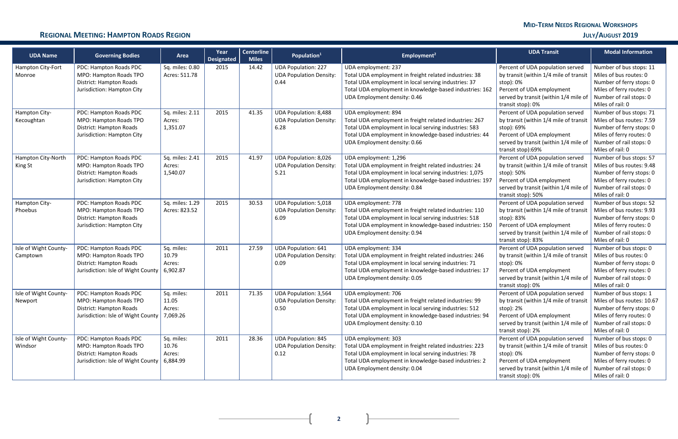### **REGIONAL MEETING: HAMPTON ROADS REGION JULY/AUGUST 2019**

**2**

| <b>UDA Name</b>                   | <b>Governing Bodies</b>                                                                                                      | Area                                      | Year<br><b>Designated</b> | <b>Centerline</b><br><b>Miles</b> | Population <sup>1</sup>                                                | Employment <sup>2</sup>                                                                                                                                                                                                               | <b>UDA Transit</b>                                                                                                                                                                   | <b>Modal Information</b>                                                                                                                                    |
|-----------------------------------|------------------------------------------------------------------------------------------------------------------------------|-------------------------------------------|---------------------------|-----------------------------------|------------------------------------------------------------------------|---------------------------------------------------------------------------------------------------------------------------------------------------------------------------------------------------------------------------------------|--------------------------------------------------------------------------------------------------------------------------------------------------------------------------------------|-------------------------------------------------------------------------------------------------------------------------------------------------------------|
| Hampton City-Fort<br>Monroe       | PDC: Hampton Roads PDC<br>MPO: Hampton Roads TPO<br>District: Hampton Roads<br>Jurisdiction: Hampton City                    | Sq. miles: 0.80<br>Acres: 511.78          | 2015                      | 14.42                             | <b>UDA Population: 227</b><br><b>UDA Population Density:</b><br>0.44   | UDA employment: 237<br>Total UDA employment in freight related industries: 38<br>Total UDA employment in local serving industries: 37<br>Total UDA employment in knowledge-based industries: 162<br>UDA Employment density: 0.46      | Percent of UDA population served<br>by transit (within 1/4 mile of transit<br>stop): 0%<br>Percent of UDA employment<br>served by transit (within 1/4 mile of<br>transit stop): 0%   | Number of bus stops: 11<br>Miles of bus routes: 0<br>Number of ferry stops: 0<br>Miles of ferry routes: 0<br>Number of rail stops: 0<br>Miles of rail: 0    |
| Hampton City-<br>Kecoughtan       | PDC: Hampton Roads PDC<br>MPO: Hampton Roads TPO<br>District: Hampton Roads<br>Jurisdiction: Hampton City                    | Sq. miles: 2.11<br>Acres:<br>1,351.07     | 2015                      | 41.35                             | <b>UDA Population: 8,488</b><br><b>UDA Population Density:</b><br>6.28 | UDA employment: 894<br>Total UDA employment in freight related industries: 267<br>Total UDA employment in local serving industries: 583<br>Total UDA employment in knowledge-based industries: 44<br>UDA Employment density: 0.66     | Percent of UDA population served<br>by transit (within 1/4 mile of transit<br>stop): 69%<br>Percent of UDA employment<br>served by transit (within 1/4 mile of<br>transit stop):69%  | Number of bus stops: 71<br>Miles of bus routes: 7.59<br>Number of ferry stops: 0<br>Miles of ferry routes: 0<br>Number of rail stops: 0<br>Miles of rail: 0 |
| Hampton City-North<br>King St     | PDC: Hampton Roads PDC<br>MPO: Hampton Roads TPO<br>District: Hampton Roads<br>Jurisdiction: Hampton City                    | Sq. miles: 2.41<br>Acres:<br>1,540.07     | 2015                      | 41.97                             | <b>UDA Population: 8,026</b><br><b>UDA Population Density:</b><br>5.21 | UDA employment: 1,296<br>Total UDA employment in freight related industries: 24<br>Total UDA employment in local serving industries: 1,075<br>Total UDA employment in knowledge-based industries: 197<br>UDA Employment density: 0.84 | Percent of UDA population served<br>by transit (within 1/4 mile of transit<br>stop): 50%<br>Percent of UDA employment<br>served by transit (within 1/4 mile of<br>transit stop): 50% | Number of bus stops: 57<br>Miles of bus routes: 9.48<br>Number of ferry stops: 0<br>Miles of ferry routes: 0<br>Number of rail stops: 0<br>Miles of rail: 0 |
| Hampton City-<br>Phoebus          | PDC: Hampton Roads PDC<br>MPO: Hampton Roads TPO<br>District: Hampton Roads<br>Jurisdiction: Hampton City                    | Sq. miles: 1.29<br>Acres: 823.52          | 2015                      | 30.53                             | <b>UDA Population: 5,018</b><br><b>UDA Population Density:</b><br>6.09 | UDA employment: 778<br>Total UDA employment in freight related industries: 110<br>Total UDA employment in local serving industries: 518<br>Total UDA employment in knowledge-based industries: 150<br>UDA Employment density: 0.94    | Percent of UDA population served<br>by transit (within 1/4 mile of transit<br>stop): 83%<br>Percent of UDA employment<br>served by transit (within 1/4 mile of<br>transit stop): 83% | Number of bus stops: 52<br>Miles of bus routes: 9.93<br>Number of ferry stops: 0<br>Miles of ferry routes: 0<br>Number of rail stops: 0<br>Miles of rail: 0 |
| Isle of Wight County-<br>Camptown | PDC: Hampton Roads PDC<br>MPO: Hampton Roads TPO<br>District: Hampton Roads<br>Jurisdiction: Isle of Wight County            | Sq. miles:<br>10.79<br>Acres:<br>6,902.87 | 2011                      | 27.59                             | <b>UDA Population: 641</b><br><b>UDA Population Density:</b><br>0.09   | UDA employment: 334<br>Total UDA employment in freight related industries: 246<br>Total UDA employment in local serving industries: 71<br>Total UDA employment in knowledge-based industries: 17<br>UDA Employment density: 0.05      | Percent of UDA population served<br>by transit (within 1/4 mile of transit<br>stop): 0%<br>Percent of UDA employment<br>served by transit (within 1/4 mile of<br>transit stop): 0%   | Number of bus stops: 0<br>Miles of bus routes: 0<br>Number of ferry stops: 0<br>Miles of ferry routes: 0<br>Number of rail stops: 0<br>Miles of rail: 0     |
| Isle of Wight County-<br>Newport  | PDC: Hampton Roads PDC<br>MPO: Hampton Roads TPO<br>District: Hampton Roads<br>Jurisdiction: Isle of Wight County   7,069.26 | Sq. miles:<br>11.05<br>Acres:             | 2011                      | 71.35                             | UDA Population: 3,564<br><b>UDA Population Density:</b><br>0.50        | UDA employment: 706<br>Total UDA employment in freight related industries: 99<br>Total UDA employment in local serving industries: 512<br>Total UDA employment in knowledge-based industries: 94<br>UDA Employment density: 0.10      | Percent of UDA population served<br>by transit (within 1/4 mile of transit<br>stop): 2%<br>Percent of UDA employment<br>served by transit (within 1/4 mile of<br>transit stop): 2%   | Number of bus stops: 1<br>Miles of bus routes: 10.67<br>Number of ferry stops: 0<br>Miles of ferry routes: 0<br>Number of rail stops: 0<br>Miles of rail: 0 |
| Isle of Wight County-<br>Windsor  | PDC: Hampton Roads PDC<br>MPO: Hampton Roads TPO<br>District: Hampton Roads<br>Jurisdiction: Isle of Wight County            | Sq. miles:<br>10.76<br>Acres:<br>6,884.99 | 2011                      | 28.36                             | <b>UDA Population: 845</b><br><b>UDA Population Density:</b><br>0.12   | UDA employment: 303<br>Total UDA employment in freight related industries: 223<br>Total UDA employment in local serving industries: 78<br>Total UDA employment in knowledge-based industries: 2<br>UDA Employment density: 0.04       | Percent of UDA population served<br>by transit (within 1/4 mile of transit<br>stop): 0%<br>Percent of UDA employment<br>served by transit (within 1/4 mile of<br>transit stop): 0%   | Number of bus stops: 0<br>Miles of bus routes: 0<br>Number of ferry stops: 0<br>Miles of ferry routes: 0<br>Number of rail stops: 0<br>Miles of rail: 0     |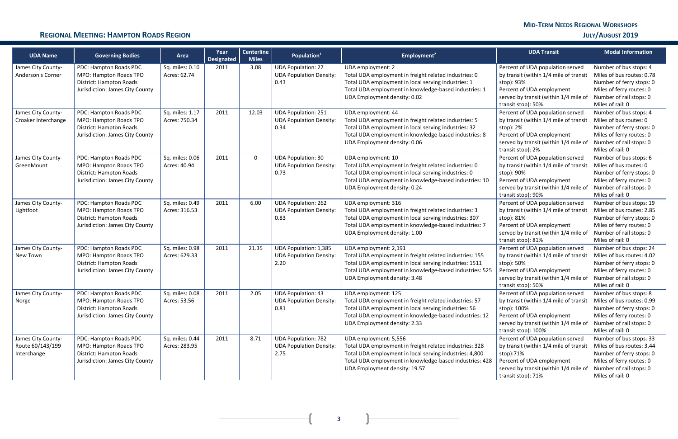| <b>UDA Name</b>                                       | <b>Governing Bodies</b>                                                                                        | Area                             | Year<br><b>Designated</b> | <b>Centerline</b><br><b>Miles</b> | Population <sup>1</sup>                                                | Employment <sup>2</sup>                                                                                                                                                                                                                 | <b>UDA Transit</b>                                                                                                                                                                     | <b>Modal Information</b>                                                                                                                                    |
|-------------------------------------------------------|----------------------------------------------------------------------------------------------------------------|----------------------------------|---------------------------|-----------------------------------|------------------------------------------------------------------------|-----------------------------------------------------------------------------------------------------------------------------------------------------------------------------------------------------------------------------------------|----------------------------------------------------------------------------------------------------------------------------------------------------------------------------------------|-------------------------------------------------------------------------------------------------------------------------------------------------------------|
| James City County-<br>Anderson's Corner               | PDC: Hampton Roads PDC<br>MPO: Hampton Roads TPO<br>District: Hampton Roads<br>Jurisdiction: James City County | Sq. miles: 0.10<br>Acres: 62.74  | 2011                      | 3.08                              | <b>UDA Population: 27</b><br><b>UDA Population Density:</b><br>0.43    | UDA employment: 2<br>Total UDA employment in freight related industries: 0<br>Total UDA employment in local serving industries: 1<br>Total UDA employment in knowledge-based industries: 1<br>UDA Employment density: 0.02              | Percent of UDA population served<br>by transit (within 1/4 mile of transit<br>stop): 93%<br>Percent of UDA employment<br>served by transit (within 1/4 mile of<br>transit stop): 50%   | Number of bus stops: 4<br>Miles of bus routes: 0.78<br>Number of ferry stops: 0<br>Miles of ferry routes: 0<br>Number of rail stops: 0<br>Miles of rail: 0  |
| James City County-<br>Croaker Interchange             | PDC: Hampton Roads PDC<br>MPO: Hampton Roads TPO<br>District: Hampton Roads<br>Jurisdiction: James City County | Sq. miles: 1.17<br>Acres: 750.34 | 2011                      | 12.03                             | <b>UDA Population: 251</b><br><b>UDA Population Density:</b><br>0.34   | UDA employment: 44<br>Total UDA employment in freight related industries: 5<br>Total UDA employment in local serving industries: 32<br>Total UDA employment in knowledge-based industries: 8<br>UDA Employment density: 0.06            | Percent of UDA population served<br>by transit (within 1/4 mile of transit<br>stop): 2%<br>Percent of UDA employment<br>served by transit (within 1/4 mile of<br>transit stop): 2%     | Number of bus stops: 4<br>Miles of bus routes: 0<br>Number of ferry stops: 0<br>Miles of ferry routes: 0<br>Number of rail stops: 0<br>Miles of rail: 0     |
| James City County-<br>GreenMount                      | PDC: Hampton Roads PDC<br>MPO: Hampton Roads TPO<br>District: Hampton Roads<br>Jurisdiction: James City County | Sq. miles: 0.06<br>Acres: 40.94  | 2011                      | $\Omega$                          | <b>UDA Population: 30</b><br><b>UDA Population Density:</b><br>0.73    | UDA employment: 10<br>Total UDA employment in freight related industries: 0<br>Total UDA employment in local serving industries: 0<br>Total UDA employment in knowledge-based industries: 10<br>UDA Employment density: 0.24            | Percent of UDA population served<br>by transit (within 1/4 mile of transit<br>stop): 90%<br>Percent of UDA employment<br>served by transit (within 1/4 mile of<br>transit stop): 90%   | Number of bus stops: 6<br>Miles of bus routes: 0<br>Number of ferry stops: 0<br>Miles of ferry routes: 0<br>Number of rail stops: 0<br>Miles of rail: 0     |
| James City County-<br>Lightfoot                       | PDC: Hampton Roads PDC<br>MPO: Hampton Roads TPO<br>District: Hampton Roads<br>Jurisdiction: James City County | Sq. miles: 0.49<br>Acres: 316.53 | 2011                      | 6.00                              | <b>UDA Population: 262</b><br><b>UDA Population Density:</b><br>0.83   | UDA employment: 316<br>Total UDA employment in freight related industries: 3<br>Total UDA employment in local serving industries: 307<br>Total UDA employment in knowledge-based industries: 7<br>UDA Employment density: 1.00          | Percent of UDA population served<br>by transit (within 1/4 mile of transit<br>stop): 81%<br>Percent of UDA employment<br>served by transit (within 1/4 mile of<br>transit stop): 81%   | Number of bus stops: 19<br>Miles of bus routes: 2.85<br>Number of ferry stops: 0<br>Miles of ferry routes: 0<br>Number of rail stops: 0<br>Miles of rail: 0 |
| James City County-<br>New Town                        | PDC: Hampton Roads PDC<br>MPO: Hampton Roads TPO<br>District: Hampton Roads<br>Jurisdiction: James City County | Sq. miles: 0.98<br>Acres: 629.33 | 2011                      | 21.35                             | <b>UDA Population: 1,385</b><br><b>UDA Population Density:</b><br>2.20 | UDA employment: 2,191<br>Total UDA employment in freight related industries: 155<br>Total UDA employment in local serving industries: 1511<br>Total UDA employment in knowledge-based industries: 525<br>UDA Employment density: 3.48   | Percent of UDA population served<br>by transit (within 1/4 mile of transit<br>stop): 50%<br>Percent of UDA employment<br>served by transit (within 1/4 mile of<br>transit stop): 50%   | Number of bus stops: 24<br>Miles of bus routes: 4.02<br>Number of ferry stops: 0<br>Miles of ferry routes: 0<br>Number of rail stops: 0<br>Miles of rail: 0 |
| James City County-<br>Norge                           | PDC: Hampton Roads PDC<br>MPO: Hampton Roads TPO<br>District: Hampton Roads<br>Jurisdiction: James City County | Sq. miles: 0.08<br>Acres: 53.56  | 2011                      | 2.05                              | UDA Population: 43<br><b>UDA Population Density:</b><br>0.81           | UDA employment: 125<br>Total UDA employment in freight related industries: 57<br>Total UDA employment in local serving industries: 56<br>Total UDA employment in knowledge-based industries: 12<br>UDA Employment density: 2.33         | Percent of UDA population served<br>by transit (within 1/4 mile of transit<br>stop): 100%<br>Percent of UDA employment<br>served by transit (within 1/4 mile of<br>transit stop): 100% | Number of bus stops: 8<br>Miles of bus routes: 0.99<br>Number of ferry stops: 0<br>Miles of ferry routes: 0<br>Number of rail stops: 0<br>Miles of rail: 0  |
| James City County-<br>Route 60/143/199<br>Interchange | PDC: Hampton Roads PDC<br>MPO: Hampton Roads TPO<br>District: Hampton Roads<br>Jurisdiction: James City County | Sq. miles: 0.44<br>Acres: 283.95 | 2011                      | 8.71                              | <b>UDA Population: 782</b><br><b>UDA Population Density:</b><br>2.75   | UDA employment: 5,556<br>Total UDA employment in freight related industries: 328<br>Total UDA employment in local serving industries: 4,800<br>Total UDA employment in knowledge-based industries: 428<br>UDA Employment density: 19.57 | Percent of UDA population served<br>by transit (within 1/4 mile of transit<br>stop):71%<br>Percent of UDA employment<br>served by transit (within 1/4 mile of<br>transit stop): 71%    | Number of bus stops: 33<br>Miles of bus routes: 3.44<br>Number of ferry stops: 0<br>Miles of ferry routes: 0<br>Number of rail stops: 0<br>Miles of rail: 0 |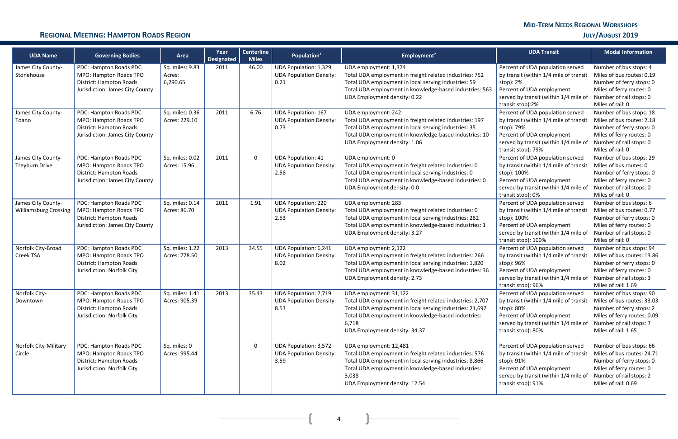| <b>UDA Name</b>                                    | <b>Governing Bodies</b>                                                                                        | Area                                  | Year<br><b>Designated</b> | <b>Centerline</b><br><b>Miles</b> | Population <sup>1</sup>                                                | Employment <sup>2</sup>                                                                                                                                                                                                                          | <b>UDA Transit</b>                                                                                                                                                                     | <b>Modal Information</b>                                                                                                                                           |
|----------------------------------------------------|----------------------------------------------------------------------------------------------------------------|---------------------------------------|---------------------------|-----------------------------------|------------------------------------------------------------------------|--------------------------------------------------------------------------------------------------------------------------------------------------------------------------------------------------------------------------------------------------|----------------------------------------------------------------------------------------------------------------------------------------------------------------------------------------|--------------------------------------------------------------------------------------------------------------------------------------------------------------------|
| James City County-<br>Stonehouse                   | PDC: Hampton Roads PDC<br>MPO: Hampton Roads TPO<br>District: Hampton Roads<br>Jurisdiction: James City County | Sq. miles: 9.83<br>Acres:<br>6,290.65 | 2011                      | 46.00                             | <b>UDA Population: 1,329</b><br><b>UDA Population Density:</b><br>0.21 | UDA employment: 1,374<br>Total UDA employment in freight related industries: 752<br>Total UDA employment in local serving industries: 59<br>Total UDA employment in knowledge-based industries: 563<br>UDA Employment density: 0.22              | Percent of UDA population served<br>by transit (within 1/4 mile of transit<br>stop): 2%<br>Percent of UDA employment<br>served by transit (within 1/4 mile of<br>transit stop):2%      | Number of bus stops: 4<br>Miles of bus routes: 0.19<br>Number of ferry stops: 0<br>Miles of ferry routes: 0<br>Number of rail stops: 0<br>Miles of rail: 0         |
| James City County-<br>Toano                        | PDC: Hampton Roads PDC<br>MPO: Hampton Roads TPO<br>District: Hampton Roads<br>Jurisdiction: James City County | Sq. miles: 0.36<br>Acres: 229.10      | 2011                      | 6.76                              | <b>UDA Population: 167</b><br><b>UDA Population Density:</b><br>0.73   | UDA employment: 242<br>Total UDA employment in freight related industries: 197<br>Total UDA employment in local serving industries: 35<br>Total UDA employment in knowledge-based industries: 10<br>UDA Employment density: 1.06                 | Percent of UDA population served<br>by transit (within 1/4 mile of transit<br>stop): 79%<br>Percent of UDA employment<br>served by transit (within 1/4 mile of<br>transit stop): 79%   | Number of bus stops: 18<br>Miles of bus routes: 2.18<br>Number of ferry stops: 0<br>Miles of ferry routes: 0<br>Number of rail stops: 0<br>Miles of rail: 0        |
| James City County-<br><b>Treyburn Drive</b>        | PDC: Hampton Roads PDC<br>MPO: Hampton Roads TPO<br>District: Hampton Roads<br>Jurisdiction: James City County | Sq. miles: 0.02<br>Acres: 15.96       | 2011                      | $\Omega$                          | <b>UDA Population: 41</b><br><b>UDA Population Density:</b><br>2.58    | UDA employment: 0<br>Total UDA employment in freight related industries: 0<br>Total UDA employment in local serving industries: 0<br>Total UDA employment in knowledge-based industries: 0<br>UDA Employment density: 0.0                        | Percent of UDA population served<br>by transit (within 1/4 mile of transit<br>stop): 100%<br>Percent of UDA employment<br>served by transit (within 1/4 mile of<br>transit stop): 0%   | Number of bus stops: 29<br>Miles of bus routes: 0<br>Number of ferry stops: 0<br>Miles of ferry routes: 0<br>Number of rail stops: 0<br>Miles of rail: 0           |
| James City County-<br><b>Williamsburg Crossing</b> | PDC: Hampton Roads PDC<br>MPO: Hampton Roads TPO<br>District: Hampton Roads<br>Jurisdiction: James City County | Sq. miles: 0.14<br>Acres: 86.70       | 2011                      | 1.91                              | <b>UDA Population: 220</b><br><b>UDA Population Density:</b><br>2.53   | UDA employment: 283<br>Total UDA employment in freight related industries: 0<br>Total UDA employment in local serving industries: 282<br>Total UDA employment in knowledge-based industries: 1<br>UDA Employment density: 3.27                   | Percent of UDA population served<br>by transit (within 1/4 mile of transit<br>stop): 100%<br>Percent of UDA employment<br>served by transit (within 1/4 mile of<br>transit stop): 100% | Number of bus stops: 6<br>Miles of bus routes: 0.77<br>Number of ferry stops: 0<br>Miles of ferry routes: 0<br>Number of rail stops: 0<br>Miles of rail: 0         |
| Norfolk City-Broad<br>Creek TSA                    | PDC: Hampton Roads PDC<br>MPO: Hampton Roads TPO<br>District: Hampton Roads<br>Jurisdiction: Norfolk City      | Sq. miles: 1.22<br>Acres: 778.50      | 2013                      | 34.55                             | <b>UDA Population: 6,241</b><br><b>UDA Population Density:</b><br>8.02 | UDA employment: 2,122<br>Total UDA employment in freight related industries: 266<br>Total UDA employment in local serving industries: 1,820<br>Total UDA employment in knowledge-based industries: 36<br>UDA Employment density: 2.73            | Percent of UDA population served<br>by transit (within 1/4 mile of transit<br>stop): 96%<br>Percent of UDA employment<br>served by transit (within 1/4 mile of<br>transit stop): 96%   | Number of bus stops: 94<br>Miles of bus routes: 13.86<br>Number of ferry stops: 0<br>Miles of ferry routes: 0<br>Number of rail stops: 3<br>Miles of rail: 1.69    |
| Norfolk City-<br>Downtown                          | PDC: Hampton Roads PDC<br>MPO: Hampton Roads TPO<br>District: Hampton Roads<br>Jurisdiction: Norfolk City      | Sq. miles: 1.41<br>Acres: 905.39      | 2013                      | 35.43                             | UDA Population: 7,719<br><b>UDA Population Density:</b><br>8.53        | UDA employment: 31,122<br>Total UDA employment in freight related industries: 2,707<br>Total UDA employment in local serving industries: 21,697<br>Total UDA employment in knowledge-based industries:<br>6,718<br>UDA Employment density: 34.37 | Percent of UDA population served<br>by transit (within 1/4 mile of transit<br>stop): 80%<br>Percent of UDA employment<br>served by transit (within 1/4 mile of<br>transit stop): 80%   | Number of bus stops: 90<br>Miles of bus routes: 33.03<br>Number of ferry stops: 2<br>Miles of ferry routes: 0.09<br>Number of rail stops: 7<br>Miles of rail: 1.65 |
| <b>Norfolk City-Military</b><br>Circle             | PDC: Hampton Roads PDC<br>MPO: Hampton Roads TPO<br>District: Hampton Roads<br>Jurisdiction: Norfolk City      | Sq. miles: 0<br>Acres: 995.44         |                           | $\overline{0}$                    | <b>UDA Population: 3,572</b><br><b>UDA Population Density:</b><br>3.59 | UDA employment: 12,481<br>Total UDA employment in freight related industries: 576<br>Total UDA employment in local serving industries: 8,866<br>Total UDA employment in knowledge-based industries:<br>3,038<br>UDA Employment density: 12.54    | Percent of UDA population served<br>by transit (within 1/4 mile of transit<br>stop): 91%<br>Percent of UDA employment<br>served by transit (within 1/4 mile of<br>transit stop): 91%   | Number of bus stops: 66<br>Miles of bus routes: 24.71<br>Number of ferry stops: 0<br>Miles of ferry routes: 0<br>Number of rail stops: 2<br>Miles of rail: 0.69    |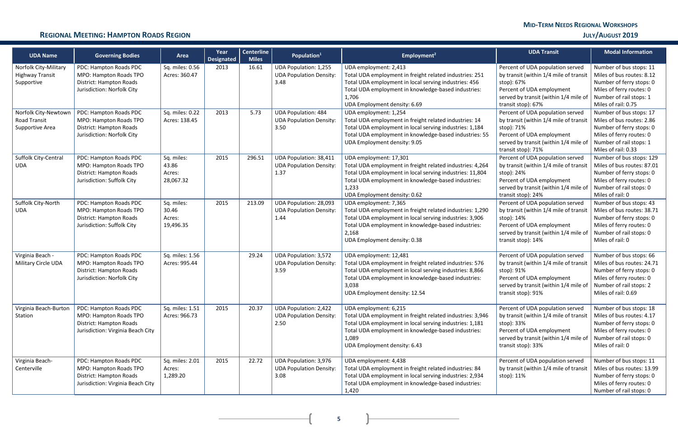| <b>UDA Name</b>                                                      | <b>Governing Bodies</b>                                                                                          | Area                                       | Year<br><b>Designated</b> | <b>Centerline</b><br><b>Miles</b> | Population <sup>1</sup>                                                 | Employment <sup>2</sup>                                                                                                                                                                                                                         | <b>UDA Transit</b>                                                                                                                                                                   | <b>Modal Information</b>                                                                                                                                        |
|----------------------------------------------------------------------|------------------------------------------------------------------------------------------------------------------|--------------------------------------------|---------------------------|-----------------------------------|-------------------------------------------------------------------------|-------------------------------------------------------------------------------------------------------------------------------------------------------------------------------------------------------------------------------------------------|--------------------------------------------------------------------------------------------------------------------------------------------------------------------------------------|-----------------------------------------------------------------------------------------------------------------------------------------------------------------|
| <b>Norfolk City-Military</b><br><b>Highway Transit</b><br>Supportive | PDC: Hampton Roads PDC<br>MPO: Hampton Roads TPO<br>District: Hampton Roads<br>Jurisdiction: Norfolk City        | Sq. miles: 0.56<br>Acres: 360.47           | 2013                      | 16.61                             | <b>UDA Population: 1,255</b><br><b>UDA Population Density:</b><br>3.48  | UDA employment: 2,413<br>Total UDA employment in freight related industries: 251<br>Total UDA employment in local serving industries: 456<br>Total UDA employment in knowledge-based industries:<br>1,706<br>UDA Employment density: 6.69       | Percent of UDA population served<br>by transit (within 1/4 mile of transit<br>stop): 67%<br>Percent of UDA employment<br>served by transit (within 1/4 mile of<br>transit stop): 67% | Number of bus stops: 11<br>Miles of bus routes: 8.12<br>Number of ferry stops: 0<br>Miles of ferry routes: 0<br>Number of rail stops: 1<br>Miles of rail: 0.75  |
| Norfolk City-Newtown<br>Road Transit<br>Supportive Area              | PDC: Hampton Roads PDC<br>MPO: Hampton Roads TPO<br>District: Hampton Roads<br>Jurisdiction: Norfolk City        | Sq. miles: 0.22<br>Acres: 138.45           | 2013                      | 5.73                              | <b>UDA Population: 484</b><br><b>UDA Population Density:</b><br>3.50    | UDA employment: 1,254<br>Total UDA employment in freight related industries: 14<br>Total UDA employment in local serving industries: 1,184<br>Total UDA employment in knowledge-based industries: 55<br>UDA Employment density: 9.05            | Percent of UDA population served<br>by transit (within 1/4 mile of transit<br>stop): 71%<br>Percent of UDA employment<br>served by transit (within 1/4 mile of<br>transit stop): 71% | Number of bus stops: 17<br>Miles of bus routes: 2.86<br>Number of ferry stops: 0<br>Miles of ferry routes: 0<br>Number of rail stops: 1<br>Miles of rail: 0.33  |
| Suffolk City-Central<br><b>UDA</b>                                   | PDC: Hampton Roads PDC<br>MPO: Hampton Roads TPO<br>District: Hampton Roads<br>Jurisdiction: Suffolk City        | Sq. miles:<br>43.86<br>Acres:<br>28,067.32 | 2015                      | 296.51                            | UDA Population: 38,411<br><b>UDA Population Density:</b><br>1.37        | UDA employment: 17,301<br>Total UDA employment in freight related industries: 4,264<br>Total UDA employment in local serving industries: 11,804<br>Total UDA employment in knowledge-based industries:<br>1,233<br>UDA Employment density: 0.62 | Percent of UDA population served<br>by transit (within 1/4 mile of transit<br>stop): 24%<br>Percent of UDA employment<br>served by transit (within 1/4 mile of<br>transit stop): 24% | Number of bus stops: 129<br>Miles of bus routes: 87.01<br>Number of ferry stops: 0<br>Miles of ferry routes: 0<br>Number of rail stops: 0<br>Miles of rail: 0   |
| Suffolk City-North<br><b>UDA</b>                                     | PDC: Hampton Roads PDC<br>MPO: Hampton Roads TPO<br>District: Hampton Roads<br>Jurisdiction: Suffolk City        | Sq. miles:<br>30.46<br>Acres:<br>19,496.35 | 2015                      | 213.09                            | <b>UDA Population: 28,093</b><br><b>UDA Population Density:</b><br>1.44 | UDA employment: 7,365<br>Total UDA employment in freight related industries: 1,290<br>Total UDA employment in local serving industries: 3,906<br>Total UDA employment in knowledge-based industries:<br>2,168<br>UDA Employment density: 0.38   | Percent of UDA population served<br>by transit (within 1/4 mile of transit<br>stop): 14%<br>Percent of UDA employment<br>served by transit (within 1/4 mile of<br>transit stop): 14% | Number of bus stops: 43<br>Miles of bus routes: 38.71<br>Number of ferry stops: 0<br>Miles of ferry routes: 0<br>Number of rail stops: 0<br>Miles of rail: 0    |
| Virginia Beach -<br>Military Circle UDA                              | PDC: Hampton Roads PDC<br>MPO: Hampton Roads TPO<br>District: Hampton Roads<br>Jurisdiction: Norfolk City        | Sq. miles: 1.56<br>Acres: 995.44           |                           | 29.24                             | <b>UDA Population: 3,572</b><br><b>UDA Population Density:</b><br>3.59  | UDA employment: 12,481<br>Total UDA employment in freight related industries: 576<br>Total UDA employment in local serving industries: 8,866<br>Total UDA employment in knowledge-based industries:<br>3,038<br>UDA Employment density: 12.54   | Percent of UDA population served<br>by transit (within 1/4 mile of transit<br>stop): 91%<br>Percent of UDA employment<br>served by transit (within 1/4 mile of<br>transit stop): 91% | Number of bus stops: 66<br>Miles of bus routes: 24.71<br>Number of ferry stops: 0<br>Miles of ferry routes: 0<br>Number of rail stops: 2<br>Miles of rail: 0.69 |
| Virginia Beach-Burton<br>Station                                     | PDC: Hampton Roads PDC<br>MPO: Hampton Roads TPO<br>District: Hampton Roads<br>Jurisdiction: Virginia Beach City | Sq. miles: 1.51<br>Acres: 966.73           | 2015                      | 20.37                             | <b>UDA Population: 2,422</b><br><b>UDA Population Density:</b><br>2.50  | UDA employment: 6,215<br>Total UDA employment in freight related industries: 3,946<br>Total UDA employment in local serving industries: 1,181<br>Total UDA employment in knowledge-based industries:<br>1,089<br>UDA Employment density: 6.43   | Percent of UDA population served<br>by transit (within 1/4 mile of transit<br>stop): 33%<br>Percent of UDA employment<br>served by transit (within 1/4 mile of<br>transit stop): 33% | Number of bus stops: 18<br>Miles of bus routes: 4.17<br>Number of ferry stops: 0<br>Miles of ferry routes: 0<br>Number of rail stops: 0<br>Miles of rail: 0     |
| Virginia Beach-<br>Centerville                                       | PDC: Hampton Roads PDC<br>MPO: Hampton Roads TPO<br>District: Hampton Roads<br>Jurisdiction: Virginia Beach City | Sq. miles: 2.01<br>Acres:<br>1,289.20      | 2015                      | 22.72                             | <b>UDA Population: 3,976</b><br><b>UDA Population Density:</b><br>3.08  | UDA employment: 4,438<br>Total UDA employment in freight related industries: 84<br>Total UDA employment in local serving industries: 2,934<br>Total UDA employment in knowledge-based industries:<br>1,420                                      | Percent of UDA population served<br>by transit (within 1/4 mile of transit<br>stop): 11%                                                                                             | Number of bus stops: 11<br>Miles of bus routes: 13.99<br>Number of ferry stops: 0<br>Miles of ferry routes: 0<br>Number of rail stops: 0                        |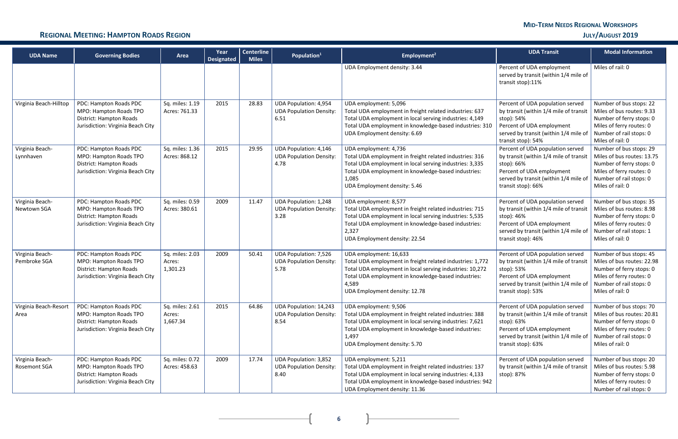| <b>UDA Name</b>                 | <b>Governing Bodies</b>                                                                                          | Area                                  | Year<br><b>Designated</b> | <b>Centerline</b><br><b>Miles</b> | Population <sup>1</sup>                                                 | Employment <sup>2</sup>                                                                                                                                                                                                                          | <b>UDA Transit</b>                                                                                                                                                                   | <b>Modal Information</b>                                                                                                                                     |
|---------------------------------|------------------------------------------------------------------------------------------------------------------|---------------------------------------|---------------------------|-----------------------------------|-------------------------------------------------------------------------|--------------------------------------------------------------------------------------------------------------------------------------------------------------------------------------------------------------------------------------------------|--------------------------------------------------------------------------------------------------------------------------------------------------------------------------------------|--------------------------------------------------------------------------------------------------------------------------------------------------------------|
|                                 |                                                                                                                  |                                       |                           |                                   |                                                                         | UDA Employment density: 3.44                                                                                                                                                                                                                     | Percent of UDA employment<br>served by transit (within 1/4 mile of<br>transit stop):11%                                                                                              | Miles of rail: 0                                                                                                                                             |
| Virginia Beach-Hilltop          | PDC: Hampton Roads PDC<br>MPO: Hampton Roads TPO<br>District: Hampton Roads<br>Jurisdiction: Virginia Beach City | Sq. miles: 1.19<br>Acres: 761.33      | 2015                      | 28.83                             | <b>UDA Population: 4,954</b><br><b>UDA Population Density:</b><br>6.51  | UDA employment: 5,096<br>Total UDA employment in freight related industries: 637<br>Total UDA employment in local serving industries: 4,149<br>Total UDA employment in knowledge-based industries: 310<br>UDA Employment density: 6.69           | Percent of UDA population served<br>by transit (within 1/4 mile of transit<br>stop): 54%<br>Percent of UDA employment<br>served by transit (within 1/4 mile of<br>transit stop): 54% | Number of bus stops: 22<br>Miles of bus routes: 9.33<br>Number of ferry stops: 0<br>Miles of ferry routes: 0<br>Number of rail stops: 0<br>Miles of rail: 0  |
| Virginia Beach-<br>Lynnhaven    | PDC: Hampton Roads PDC<br>MPO: Hampton Roads TPO<br>District: Hampton Roads<br>Jurisdiction: Virginia Beach City | Sq. miles: 1.36<br>Acres: 868.12      | 2015                      | 29.95                             | <b>UDA Population: 4,146</b><br><b>UDA Population Density:</b><br>4.78  | UDA employment: 4,736<br>Total UDA employment in freight related industries: 316<br>Total UDA employment in local serving industries: 3,335<br>Total UDA employment in knowledge-based industries:<br>1,085<br>UDA Employment density: 5.46      | Percent of UDA population served<br>by transit (within 1/4 mile of transit<br>stop): 66%<br>Percent of UDA employment<br>served by transit (within 1/4 mile of<br>transit stop): 66% | Number of bus stops: 29<br>Miles of bus routes: 13.75<br>Number of ferry stops: 0<br>Miles of ferry routes: 0<br>Number of rail stops: 0<br>Miles of rail: 0 |
| Virginia Beach-<br>Newtown SGA  | PDC: Hampton Roads PDC<br>MPO: Hampton Roads TPO<br>District: Hampton Roads<br>Jurisdiction: Virginia Beach City | Sq. miles: 0.59<br>Acres: 380.61      | 2009                      | 11.47                             | <b>UDA Population: 1,248</b><br><b>UDA Population Density:</b><br>3.28  | UDA employment: 8,577<br>Total UDA employment in freight related industries: 715<br>Total UDA employment in local serving industries: 5,535<br>Total UDA employment in knowledge-based industries:<br>2,327<br>UDA Employment density: 22.54     | Percent of UDA population served<br>by transit (within 1/4 mile of transit<br>stop): 46%<br>Percent of UDA employment<br>served by transit (within 1/4 mile of<br>transit stop): 46% | Number of bus stops: 35<br>Miles of bus routes: 8.98<br>Number of ferry stops: 0<br>Miles of ferry routes: 0<br>Number of rail stops: 1<br>Miles of rail: 0  |
| Virginia Beach-<br>Pembroke SGA | PDC: Hampton Roads PDC<br>MPO: Hampton Roads TPO<br>District: Hampton Roads<br>Jurisdiction: Virginia Beach City | Sq. miles: 2.03<br>Acres:<br>1,301.23 | 2009                      | 50.41                             | <b>UDA Population: 7,526</b><br><b>UDA Population Density:</b><br>5.78  | UDA employment: 16,633<br>Total UDA employment in freight related industries: 1,772<br>Total UDA employment in local serving industries: 10,272<br>Total UDA employment in knowledge-based industries:<br>4,589<br>UDA Employment density: 12.78 | Percent of UDA population served<br>by transit (within 1/4 mile of transit<br>stop): 53%<br>Percent of UDA employment<br>served by transit (within 1/4 mile of<br>transit stop): 53% | Number of bus stops: 45<br>Miles of bus routes: 22.98<br>Number of ferry stops: 0<br>Miles of ferry routes: 0<br>Number of rail stops: 0<br>Miles of rail: 0 |
| Virginia Beach-Resort<br>Area   | PDC: Hampton Roads PDC<br>MPO: Hampton Roads TPO<br>District: Hampton Roads<br>Jurisdiction: Virginia Beach City | Sq. miles: 2.61<br>Acres:<br>1,667.34 | 2015                      | 64.86                             | <b>UDA Population: 14,243</b><br><b>UDA Population Density:</b><br>8.54 | UDA employment: 9,506<br>Total UDA employment in freight related industries: 388<br>Total UDA employment in local serving industries: 7,621<br>Total UDA employment in knowledge-based industries:<br>1,497<br>UDA Employment density: 5.70      | Percent of UDA population served<br>by transit (within 1/4 mile of transit<br>stop): 63%<br>Percent of UDA employment<br>served by transit (within 1/4 mile of<br>transit stop): 63% | Number of bus stops: 70<br>Miles of bus routes: 20.81<br>Number of ferry stops: 0<br>Miles of ferry routes: 0<br>Number of rail stops: 0<br>Miles of rail: 0 |
| Virginia Beach-<br>Rosemont SGA | PDC: Hampton Roads PDC<br>MPO: Hampton Roads TPO<br>District: Hampton Roads<br>Jurisdiction: Virginia Beach City | Sq. miles: 0.72<br>Acres: 458.63      | 2009                      | 17.74                             | <b>UDA Population: 3,852</b><br><b>UDA Population Density:</b><br>8.40  | UDA employment: 5,211<br>Total UDA employment in freight related industries: 137<br>Total UDA employment in local serving industries: 4,133<br>Total UDA employment in knowledge-based industries: 942<br>UDA Employment density: 11.36          | Percent of UDA population served<br>by transit (within 1/4 mile of transit<br>stop): 87%                                                                                             | Number of bus stops: 20<br>Miles of bus routes: 5.98<br>Number of ferry stops: 0<br>Miles of ferry routes: 0<br>Number of rail stops: 0                      |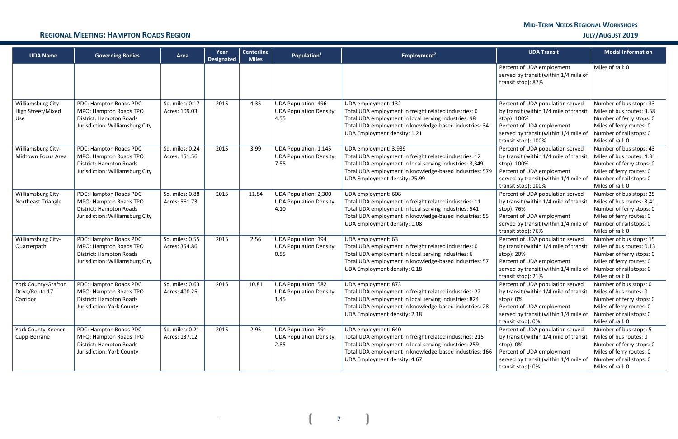### **REGIONAL MEETING: HAMPTON ROADS REGION JULY/AUGUST 2019**

 $\mathbf{r}$ 

| <b>UDA Name</b>                                          | <b>Governing Bodies</b>                                                                                               | Area                             | Year<br><b>Designated</b> | <b>Centerline</b><br><b>Miles</b> | Population <sup>1</sup>                                                | Employment <sup>2</sup>                                                                                                                                                                                                                | <b>UDA Transit</b>                                                                                                                                                                                            | <b>Modal Information</b>                                                                                                                                    |
|----------------------------------------------------------|-----------------------------------------------------------------------------------------------------------------------|----------------------------------|---------------------------|-----------------------------------|------------------------------------------------------------------------|----------------------------------------------------------------------------------------------------------------------------------------------------------------------------------------------------------------------------------------|---------------------------------------------------------------------------------------------------------------------------------------------------------------------------------------------------------------|-------------------------------------------------------------------------------------------------------------------------------------------------------------|
|                                                          |                                                                                                                       |                                  |                           |                                   |                                                                        |                                                                                                                                                                                                                                        | Percent of UDA employment<br>served by transit (within 1/4 mile of<br>transit stop): 87%                                                                                                                      | Miles of rail: 0                                                                                                                                            |
| Williamsburg City-<br>High Street/Mixed<br>Use           | PDC: Hampton Roads PDC<br>MPO: Hampton Roads TPO<br>District: Hampton Roads<br>Jurisdiction: Williamsburg City        | Sq. miles: 0.17<br>Acres: 109.03 | 2015                      | 4.35                              | <b>UDA Population: 496</b><br><b>UDA Population Density:</b><br>4.55   | UDA employment: 132<br>Total UDA employment in freight related industries: 0<br>Total UDA employment in local serving industries: 98<br>Total UDA employment in knowledge-based industries: 34<br>UDA Employment density: 1.21         | Percent of UDA population served<br>by transit (within 1/4 mile of transit<br>stop): 100%<br>Percent of UDA employment<br>served by transit (within 1/4 mile of<br>transit stop): 100%                        | Number of bus stops: 33<br>Miles of bus routes: 3.58<br>Number of ferry stops: 0<br>Miles of ferry routes: 0<br>Number of rail stops: 0<br>Miles of rail: 0 |
| Williamsburg City-<br>Midtown Focus Area                 | PDC: Hampton Roads PDC<br>MPO: Hampton Roads TPO<br>District: Hampton Roads<br>Jurisdiction: Williamsburg City        | Sq. miles: 0.24<br>Acres: 151.56 | 2015                      | 3.99                              | <b>UDA Population: 1,145</b><br><b>UDA Population Density:</b><br>7.55 | UDA employment: 3,939<br>Total UDA employment in freight related industries: 12<br>Total UDA employment in local serving industries: 3,349<br>Total UDA employment in knowledge-based industries: 579<br>UDA Employment density: 25.99 | Percent of UDA population served<br>by transit (within 1/4 mile of transit<br>stop): 100%<br>Percent of UDA employment<br>served by transit (within 1/4 mile of<br>transit stop): 100%                        | Number of bus stops: 43<br>Miles of bus routes: 4.31<br>Number of ferry stops: 0<br>Miles of ferry routes: 0<br>Number of rail stops: 0<br>Miles of rail: 0 |
| Williamsburg City-<br>Northeast Triangle                 | PDC: Hampton Roads PDC<br>MPO: Hampton Roads TPO<br>District: Hampton Roads<br>Jurisdiction: Williamsburg City        | Sq. miles: 0.88<br>Acres: 561.73 | 2015                      | 11.84                             | UDA Population: 2,300<br><b>UDA Population Density:</b><br>4.10        | UDA employment: 608<br>Total UDA employment in freight related industries: 11<br>Total UDA employment in local serving industries: 541<br>Total UDA employment in knowledge-based industries: 55<br>UDA Employment density: 1.08       | Percent of UDA population served<br>by transit (within 1/4 mile of transit<br>stop): 76%<br>Percent of UDA employment<br>served by transit (within 1/4 mile of<br>transit stop): 76%                          | Number of bus stops: 25<br>Miles of bus routes: 3.41<br>Number of ferry stops: 0<br>Miles of ferry routes: 0<br>Number of rail stops: 0<br>Miles of rail: 0 |
| Williamsburg City-<br>Quarterpath                        | PDC: Hampton Roads PDC<br>MPO: Hampton Roads TPO<br><b>District: Hampton Roads</b><br>Jurisdiction: Williamsburg City | Sq. miles: 0.55<br>Acres: 354.86 | 2015                      | 2.56                              | <b>UDA Population: 194</b><br><b>UDA Population Density:</b><br>0.55   | UDA employment: 63<br>Total UDA employment in freight related industries: 0<br>Total UDA employment in local serving industries: 6<br>Total UDA employment in knowledge-based industries: 57<br>UDA Employment density: 0.18           | Percent of UDA population served<br>by transit (within 1/4 mile of transit<br>stop): 20%<br>Percent of UDA employment<br>served by transit (within 1/4 mile of<br>transit stop): 21%                          | Number of bus stops: 15<br>Miles of bus routes: 0.13<br>Number of ferry stops: 0<br>Miles of ferry routes: 0<br>Number of rail stops: 0<br>Miles of rail: 0 |
| <b>York County-Grafton</b><br>Drive/Route 17<br>Corridor | PDC: Hampton Roads PDC<br>MPO: Hampton Roads TPO<br>District: Hampton Roads<br>Jurisdiction: York County              | Sq. miles: 0.63<br>Acres: 400.25 | 2015                      | 10.81                             | <b>UDA Population: 582</b><br><b>UDA Population Density:</b><br>1.45   | UDA employment: 873<br>Total UDA employment in freight related industries: 22<br>Total UDA employment in local serving industries: 824<br>Total UDA employment in knowledge-based industries: 28<br>UDA Employment density: 2.18       | Percent of UDA population served<br>by transit (within $1/4$ mile of transit   Miles of bus routes: 0<br>stop): 0%<br>Percent of UDA employment<br>served by transit (within 1/4 mile of<br>transit stop): 0% | Number of bus stops: 0<br>Number of ferry stops: 0<br>Miles of ferry routes: 0<br>Number of rail stops: 0<br>Miles of rail: 0                               |
| York County-Keener-<br>Cupp-Berrane                      | PDC: Hampton Roads PDC<br>MPO: Hampton Roads TPO<br>District: Hampton Roads<br>Jurisdiction: York County              | Sq. miles: 0.21<br>Acres: 137.12 | 2015                      | 2.95                              | <b>UDA Population: 391</b><br><b>UDA Population Density:</b><br>2.85   | UDA employment: 640<br>Total UDA employment in freight related industries: 215<br>Total UDA employment in local serving industries: 259<br>Total UDA employment in knowledge-based industries: 166<br>UDA Employment density: 4.67     | Percent of UDA population served<br>by transit (within 1/4 mile of transit<br>stop): 0%<br>Percent of UDA employment<br>served by transit (within 1/4 mile of<br>transit stop): 0%                            | Number of bus stops: 5<br>Miles of bus routes: 0<br>Number of ferry stops: 0<br>Miles of ferry routes: 0<br>Number of rail stops: 0<br>Miles of rail: 0     |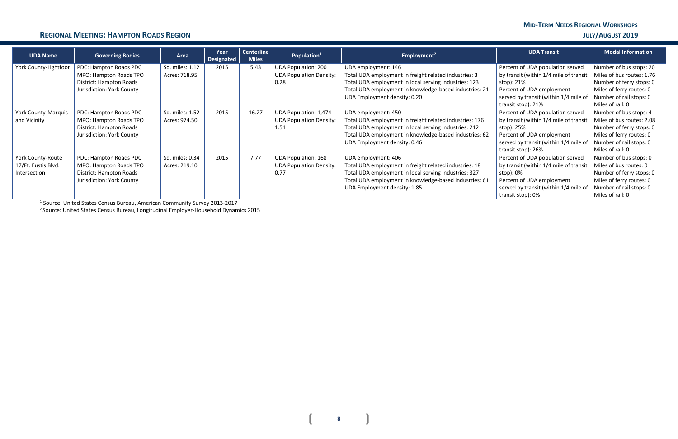### **REGIONAL MEETING: HAMPTON ROADS REGION JULY/AUGUST 2019**

**8**

| <b>UDA Name</b>            | <b>Governing Bodies</b>   | Area            | Year<br><b>Designated</b> | Centerline<br><b>Miles</b> | Population <sup>1</sup>        | Employment <sup>2</sup>                                 | <b>UDA Transit</b>                     | <b>Modal Information</b>  |
|----------------------------|---------------------------|-----------------|---------------------------|----------------------------|--------------------------------|---------------------------------------------------------|----------------------------------------|---------------------------|
| York County-Lightfoot      | PDC: Hampton Roads PDC    | Sq. miles: 1.12 | 2015                      | 5.43                       | <b>UDA Population: 200</b>     | UDA employment: 146                                     | Percent of UDA population served       | Number of bus stops: 20   |
|                            | MPO: Hampton Roads TPO    | Acres: 718.95   |                           |                            | <b>UDA Population Density:</b> | Total UDA employment in freight related industries: 3   | by transit (within 1/4 mile of transit | Miles of bus routes: 1.76 |
|                            | District: Hampton Roads   |                 |                           |                            | 0.28                           | Total UDA employment in local serving industries: 123   | stop): 21%                             | Number of ferry stops: 0  |
|                            | Jurisdiction: York County |                 |                           |                            |                                | Total UDA employment in knowledge-based industries: 21  | Percent of UDA employment              | Miles of ferry routes: 0  |
|                            |                           |                 |                           |                            |                                | UDA Employment density: 0.20                            | served by transit (within 1/4 mile of  | Number of rail stops: 0   |
|                            |                           |                 |                           |                            |                                |                                                         | transit stop): 21%                     | Miles of rail: 0          |
| <b>York County-Marquis</b> | PDC: Hampton Roads PDC    | Sq. miles: 1.52 | 2015                      | 16.27                      | <b>UDA Population: 1,474</b>   | UDA employment: 450                                     | Percent of UDA population served       | Number of bus stops: 4    |
| and Vicinity               | MPO: Hampton Roads TPO    | Acres: 974.50   |                           |                            | <b>UDA Population Density:</b> | Total UDA employment in freight related industries: 176 | by transit (within 1/4 mile of transit | Miles of bus routes: 2.08 |
|                            | District: Hampton Roads   |                 |                           |                            | 1.51                           | Total UDA employment in local serving industries: 212   | stop): 25%                             | Number of ferry stops: 0  |
|                            | Jurisdiction: York County |                 |                           |                            |                                | Total UDA employment in knowledge-based industries: 62  | Percent of UDA employment              | Miles of ferry routes: 0  |
|                            |                           |                 |                           |                            |                                | UDA Employment density: 0.46                            | served by transit (within 1/4 mile of  | Number of rail stops: 0   |
|                            |                           |                 |                           |                            |                                |                                                         | transit stop): 26%                     | Miles of rail: 0          |
| York County-Route          | PDC: Hampton Roads PDC    | Sq. miles: 0.34 | 2015                      | 7.77                       | <b>UDA Population: 168</b>     | UDA employment: 406                                     | Percent of UDA population served       | Number of bus stops: 0    |
| 17/Ft. Eustis Blvd.        | MPO: Hampton Roads TPO    | Acres: 219.10   |                           |                            | <b>UDA Population Density:</b> | Total UDA employment in freight related industries: 18  | by transit (within 1/4 mile of transit | Miles of bus routes: 0    |
| Intersection               | District: Hampton Roads   |                 |                           |                            | 0.77                           | Total UDA employment in local serving industries: 327   | stop): 0%                              | Number of ferry stops: 0  |
|                            | Jurisdiction: York County |                 |                           |                            |                                | Total UDA employment in knowledge-based industries: 61  | Percent of UDA employment              | Miles of ferry routes: 0  |
|                            |                           |                 |                           |                            |                                | UDA Employment density: 1.85                            | served by transit (within 1/4 mile of  | Number of rail stops: 0   |
|                            |                           |                 |                           |                            |                                |                                                         | transit stop): 0%                      | Miles of rail: 0          |

<sup>1</sup> Source: United States Census Bureau, American Community Survey 2013-2017

<sup>2</sup> Source: United States Census Bureau, Longitudinal Employer-Household Dynamics 2015